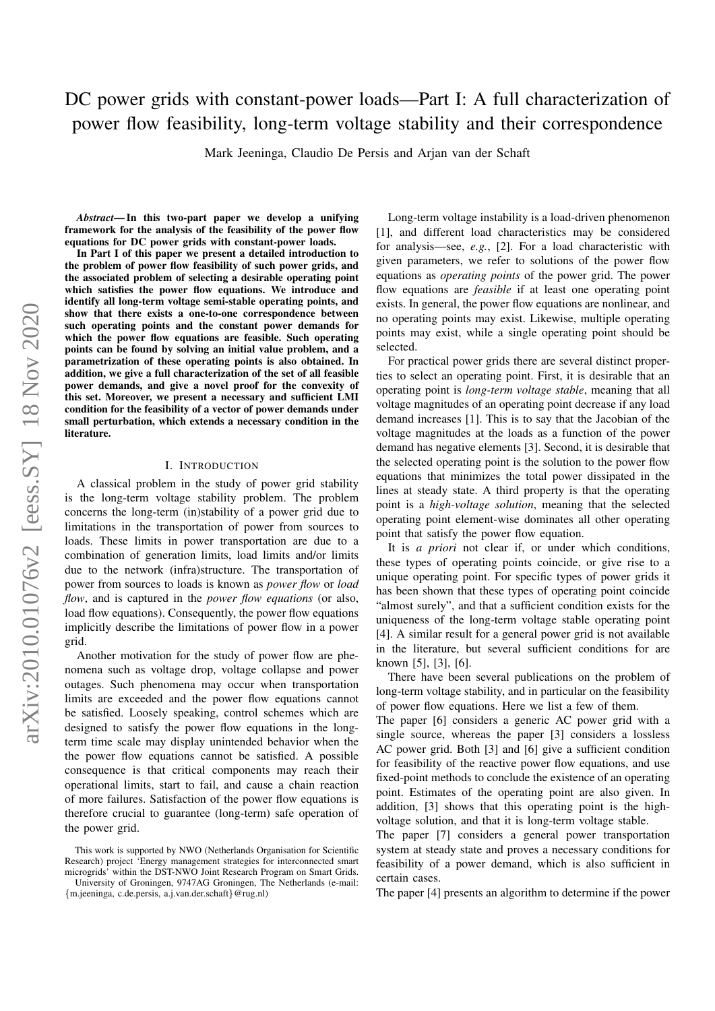# DC power grids with constant-power loads—Part I: A full characterization of power flow feasibility, long-term voltage stability and their correspondence

Mark Jeeninga, Claudio De Persis and Arjan van der Schaft

*Abstract*— In this two-part paper we develop a unifying framework for the analysis of the feasibility of the power flow equations for DC power grids with constant-power loads.

In Part I of this paper we present a detailed introduction to the problem of power flow feasibility of such power grids, and the associated problem of selecting a desirable operating point which satisfies the power flow equations. We introduce and identify all long-term voltage semi-stable operating points, and show that there exists a one-to-one correspondence between such operating points and the constant power demands for which the power flow equations are feasible. Such operating points can be found by solving an initial value problem, and a parametrization of these operating points is also obtained. In addition, we give a full characterization of the set of all feasible power demands, and give a novel proof for the convexity of this set. Moreover, we present a necessary and sufficient LMI condition for the feasibility of a vector of power demands under small perturbation, which extends a necessary condition in the literature.

#### I. INTRODUCTION

A classical problem in the study of power grid stability is the long-term voltage stability problem. The problem concerns the long-term (in)stability of a power grid due to limitations in the transportation of power from sources to loads. These limits in power transportation are due to a combination of generation limits, load limits and/or limits due to the network (infra)structure. The transportation of power from sources to loads is known as *power flow* or *load flow*, and is captured in the *power flow equations* (or also, load flow equations). Consequently, the power flow equations implicitly describe the limitations of power flow in a power grid.

Another motivation for the study of power flow are phenomena such as voltage drop, voltage collapse and power outages. Such phenomena may occur when transportation limits are exceeded and the power flow equations cannot be satisfied. Loosely speaking, control schemes which are designed to satisfy the power flow equations in the longterm time scale may display unintended behavior when the the power flow equations cannot be satisfied. A possible consequence is that critical components may reach their operational limits, start to fail, and cause a chain reaction of more failures. Satisfaction of the power flow equations is therefore crucial to guarantee (long-term) safe operation of the power grid.

Long-term voltage instability is a load-driven phenomenon [1], and different load characteristics may be considered for analysis—see, *e.g.*, [2]. For a load characteristic with given parameters, we refer to solutions of the power flow equations as *operating points* of the power grid. The power flow equations are *feasible* if at least one operating point exists. In general, the power flow equations are nonlinear, and no operating points may exist. Likewise, multiple operating points may exist, while a single operating point should be selected.

For practical power grids there are several distinct properties to select an operating point. First, it is desirable that an operating point is *long-term voltage stable*, meaning that all voltage magnitudes of an operating point decrease if any load demand increases [1]. This is to say that the Jacobian of the voltage magnitudes at the loads as a function of the power demand has negative elements [3]. Second, it is desirable that the selected operating point is the solution to the power flow equations that minimizes the total power dissipated in the lines at steady state. A third property is that the operating point is a *high-voltage solution*, meaning that the selected operating point element-wise dominates all other operating point that satisfy the power flow equation.

It is *a priori* not clear if, or under which conditions, these types of operating points coincide, or give rise to a unique operating point. For specific types of power grids it has been shown that these types of operating point coincide "almost surely", and that a sufficient condition exists for the uniqueness of the long-term voltage stable operating point [4]. A similar result for a general power grid is not available in the literature, but several sufficient conditions for are known [5], [3], [6].

There have been several publications on the problem of long-term voltage stability, and in particular on the feasibility of power flow equations. Here we list a few of them.

The paper [6] considers a generic AC power grid with a single source, whereas the paper [3] considers a lossless AC power grid. Both [3] and [6] give a sufficient condition for feasibility of the reactive power flow equations, and use fixed-point methods to conclude the existence of an operating point. Estimates of the operating point are also given. In addition, [3] shows that this operating point is the highvoltage solution, and that it is long-term voltage stable.

The paper [7] considers a general power transportation system at steady state and proves a necessary conditions for feasibility of a power demand, which is also sufficient in certain cases.

The paper [4] presents an algorithm to determine if the power

This work is supported by NWO (Netherlands Organisation for Scientific Research) project 'Energy management strategies for interconnected smart microgrids' within the DST-NWO Joint Research Program on Smart Grids.

University of Groningen, 9747AG Groningen, The Netherlands (e-mail: {m.jeeninga, c.de.persis, a.j.van.der.schaft}@rug.nl)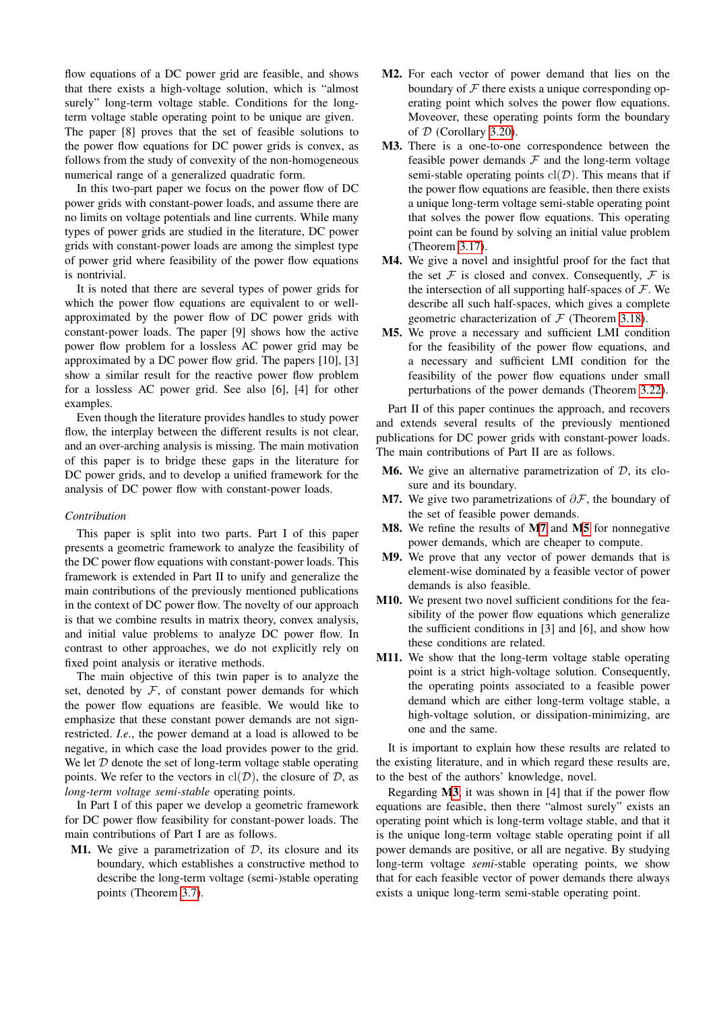flow equations of a DC power grid are feasible, and shows that there exists a high-voltage solution, which is "almost surely" long-term voltage stable. Conditions for the longterm voltage stable operating point to be unique are given. The paper [8] proves that the set of feasible solutions to the power flow equations for DC power grids is convex, as follows from the study of convexity of the non-homogeneous numerical range of a generalized quadratic form.

In this two-part paper we focus on the power flow of DC power grids with constant-power loads, and assume there are no limits on voltage potentials and line currents. While many types of power grids are studied in the literature, DC power grids with constant-power loads are among the simplest type of power grid where feasibility of the power flow equations is nontrivial.

It is noted that there are several types of power grids for which the power flow equations are equivalent to or wellapproximated by the power flow of DC power grids with constant-power loads. The paper [9] shows how the active power flow problem for a lossless AC power grid may be approximated by a DC power flow grid. The papers [10], [3] show a similar result for the reactive power flow problem for a lossless AC power grid. See also [6], [4] for other examples.

Even though the literature provides handles to study power flow, the interplay between the different results is not clear, and an over-arching analysis is missing. The main motivation of this paper is to bridge these gaps in the literature for DC power grids, and to develop a unified framework for the analysis of DC power flow with constant-power loads.

#### *Contribution*

This paper is split into two parts. Part I of this paper presents a geometric framework to analyze the feasibility of the DC power flow equations with constant-power loads. This framework is extended in Part II to unify and generalize the main contributions of the previously mentioned publications in the context of DC power flow. The novelty of our approach is that we combine results in matrix theory, convex analysis, and initial value problems to analyze DC power flow. In contrast to other approaches, we do not explicitly rely on fixed point analysis or iterative methods.

The main objective of this twin paper is to analyze the set, denoted by  $F$ , of constant power demands for which the power flow equations are feasible. We would like to emphasize that these constant power demands are not signrestricted. *I.e.*, the power demand at a load is allowed to be negative, in which case the load provides power to the grid. We let  $D$  denote the set of long-term voltage stable operating points. We refer to the vectors in  $\text{cl}(\mathcal{D})$ , the closure of  $\mathcal{D}$ , as *long-term voltage semi-stable* operating points.

In Part I of this paper we develop a geometric framework for DC power flow feasibility for constant-power loads. The main contributions of Part I are as follows.

<span id="page-1-5"></span>**M1.** We give a parametrization of  $D$ , its closure and its boundary, which establishes a constructive method to describe the long-term voltage (semi-)stable operating points (Theorem [3.7\)](#page-9-0).

- <span id="page-1-6"></span>M2. For each vector of power demand that lies on the boundary of  $F$  there exists a unique corresponding operating point which solves the power flow equations. Moveover, these operating points form the boundary of  $D$  (Corollary [3.20\)](#page-11-0).
- <span id="page-1-2"></span>M3. There is a one-to-one correspondence between the feasible power demands  $F$  and the long-term voltage semi-stable operating points  $cl(D)$ . This means that if the power flow equations are feasible, then there exists a unique long-term voltage semi-stable operating point that solves the power flow equations. This operating point can be found by solving an initial value problem (Theorem [3.17\)](#page-10-0).
- <span id="page-1-3"></span>M4. We give a novel and insightful proof for the fact that the set  $F$  is closed and convex. Consequently,  $F$  is the intersection of all supporting half-spaces of  $\mathcal{F}$ . We describe all such half-spaces, which gives a complete geometric characterization of  $\mathcal F$  (Theorem [3.18\)](#page-11-1).
- <span id="page-1-1"></span>M5. We prove a necessary and sufficient LMI condition for the feasibility of the power flow equations, and a necessary and sufficient LMI condition for the feasibility of the power flow equations under small perturbations of the power demands (Theorem [3.22\)](#page-11-2).

Part II of this paper continues the approach, and recovers and extends several results of the previously mentioned publications for DC power grids with constant-power loads. The main contributions of Part II are as follows.

- **M6.** We give an alternative parametrization of  $D$ , its closure and its boundary.
- <span id="page-1-0"></span>M7. We give two parametrizations of  $\partial \mathcal{F}$ , the boundary of the set of feasible power demands.
- M8. We refine the results of [M7](#page-1-0) and [M5](#page-1-1) for nonnegative power demands, which are cheaper to compute.
- <span id="page-1-7"></span>M9. We prove that any vector of power demands that is element-wise dominated by a feasible vector of power demands is also feasible.
- <span id="page-1-8"></span>M10. We present two novel sufficient conditions for the feasibility of the power flow equations which generalize the sufficient conditions in [3] and [6], and show how these conditions are related.
- <span id="page-1-4"></span>M11. We show that the long-term voltage stable operating point is a strict high-voltage solution. Consequently, the operating points associated to a feasible power demand which are either long-term voltage stable, a high-voltage solution, or dissipation-minimizing, are one and the same.

It is important to explain how these results are related to the existing literature, and in which regard these results are, to the best of the authors' knowledge, novel.

Regarding [M3](#page-1-2), it was shown in [4] that if the power flow equations are feasible, then there "almost surely" exists an operating point which is long-term voltage stable, and that it is the unique long-term voltage stable operating point if all power demands are positive, or all are negative. By studying long-term voltage *semi*-stable operating points, we show that for each feasible vector of power demands there always exists a unique long-term semi-stable operating point.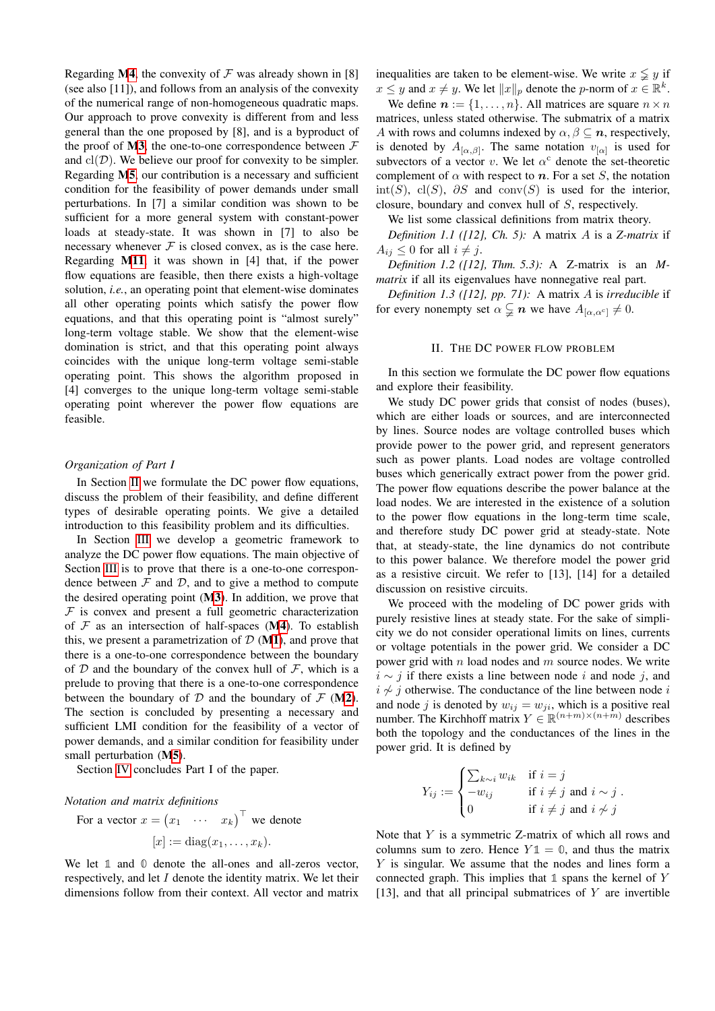Regarding [M4](#page-1-3), the convexity of  $\mathcal F$  was already shown in [8] (see also [11]), and follows from an analysis of the convexity of the numerical range of non-homogeneous quadratic maps. Our approach to prove convexity is different from and less general than the one proposed by [8], and is a byproduct of the proof of  $M3$ , the one-to-one correspondence between  $\mathcal F$ and  $\text{cl}(\mathcal{D})$ . We believe our proof for convexity to be simpler. Regarding [M5](#page-1-1), our contribution is a necessary and sufficient condition for the feasibility of power demands under small perturbations. In [7] a similar condition was shown to be sufficient for a more general system with constant-power loads at steady-state. It was shown in [7] to also be necessary whenever  $\mathcal F$  is closed convex, as is the case here. Regarding [M11](#page-1-4), it was shown in [4] that, if the power flow equations are feasible, then there exists a high-voltage solution, *i.e.*, an operating point that element-wise dominates all other operating points which satisfy the power flow equations, and that this operating point is "almost surely" long-term voltage stable. We show that the element-wise domination is strict, and that this operating point always coincides with the unique long-term voltage semi-stable operating point. This shows the algorithm proposed in [4] converges to the unique long-term voltage semi-stable operating point wherever the power flow equations are feasible.

# *Organization of Part I*

In Section [II](#page-2-0) we formulate the DC power flow equations, discuss the problem of their feasibility, and define different types of desirable operating points. We give a detailed introduction to this feasibility problem and its difficulties.

In Section [III](#page-7-0) we develop a geometric framework to analyze the DC power flow equations. The main objective of Section [III](#page-7-0) is to prove that there is a one-to-one correspondence between  $\mathcal F$  and  $\mathcal D$ , and to give a method to compute the desired operating point ([M3](#page-1-2)). In addition, we prove that  $F$  is convex and present a full geometric characterization of  $F$  as an intersection of half-spaces ([M4](#page-1-3)). To establish this, we present a parametrization of  $D(M1)$  $D(M1)$  $D(M1)$ , and prove that there is a one-to-one correspondence between the boundary of D and the boundary of the convex hull of  $\mathcal F$ , which is a prelude to proving that there is a one-to-one correspondence between the boundary of  $D$  and the boundary of  $F$  ([M2](#page-1-6)). The section is concluded by presenting a necessary and sufficient LMI condition for the feasibility of a vector of power demands, and a similar condition for feasibility under small perturbation ([M5](#page-1-1)).

Section [IV](#page-12-0) concludes Part I of the paper.

#### *Notation and matrix definitions*

For a vector  $x = \begin{pmatrix} x_1 & \cdots & x_k \end{pmatrix}^\top$  we denote

$$
[x] := \mathrm{diag}(x_1, \ldots, x_k).
$$

We let  $\mathbb{1}$  and  $\mathbb{0}$  denote the all-ones and all-zeros vector, respectively, and let I denote the identity matrix. We let their dimensions follow from their context. All vector and matrix inequalities are taken to be element-wise. We write  $x \leq y$  if  $x \leq y$  and  $x \neq y$ . We let  $||x||_p$  denote the p-norm of  $x \in \mathbb{R}^k$ .

We define  $n := \{1, \ldots, n\}$ . All matrices are square  $n \times n$ matrices, unless stated otherwise. The submatrix of a matrix A with rows and columns indexed by  $\alpha, \beta \subseteq n$ , respectively, is denoted by  $A_{[\alpha,\beta]}$ . The same notation  $v_{[\alpha]}$  is used for subvectors of a vector v. We let  $\alpha^c$  denote the set-theoretic complement of  $\alpha$  with respect to  $n$ . For a set S, the notation int(S), cl(S),  $\partial S$  and conv(S) is used for the interior, closure, boundary and convex hull of S, respectively.

We list some classical definitions from matrix theory.

*Definition 1.1 ([12], Ch. 5):* A matrix A is a *Z-matrix* if  $A_{ij} \leq 0$  for all  $i \neq j$ .

*Definition 1.2 ([12], Thm. 5.3):* A Z-matrix is an *Mmatrix* if all its eigenvalues have nonnegative real part.

<span id="page-2-2"></span>*Definition 1.3 ([12], pp. 71):* A matrix A is *irreducible* if for every nonempty set  $\alpha \subsetneq n$  we have  $A_{[\alpha,\alpha^c]} \neq 0$ .

# <span id="page-2-1"></span>II. THE DC POWER FLOW PROBLEM

<span id="page-2-0"></span>In this section we formulate the DC power flow equations and explore their feasibility.

We study DC power grids that consist of nodes (buses), which are either loads or sources, and are interconnected by lines. Source nodes are voltage controlled buses which provide power to the power grid, and represent generators such as power plants. Load nodes are voltage controlled buses which generically extract power from the power grid. The power flow equations describe the power balance at the load nodes. We are interested in the existence of a solution to the power flow equations in the long-term time scale, and therefore study DC power grid at steady-state. Note that, at steady-state, the line dynamics do not contribute to this power balance. We therefore model the power grid as a resistive circuit. We refer to [13], [14] for a detailed discussion on resistive circuits.

We proceed with the modeling of DC power grids with purely resistive lines at steady state. For the sake of simplicity we do not consider operational limits on lines, currents or voltage potentials in the power grid. We consider a DC power grid with  $n$  load nodes and  $m$  source nodes. We write  $i \sim j$  if there exists a line between node i and node j, and  $i \nless j$  otherwise. The conductance of the line between node i and node j is denoted by  $w_{ij} = w_{ji}$ , which is a positive real number. The Kirchhoff matrix  $Y \in \mathbb{R}^{(n+m)\times(n+m)}$  describes both the topology and the conductances of the lines in the power grid. It is defined by

$$
Y_{ij} := \begin{cases} \sum_{k \sim i} w_{ik} & \text{if } i = j \\ -w_{ij} & \text{if } i \neq j \text{ and } i \sim j \\ 0 & \text{if } i \neq j \text{ and } i \not\sim j \end{cases}.
$$

Note that  $Y$  is a symmetric Z-matrix of which all rows and columns sum to zero. Hence  $Y \mathbb{1} = \mathbb{0}$ , and thus the matrix Y is singular. We assume that the nodes and lines form a connected graph. This implies that **1** spans the kernel of Y [13], and that all principal submatrices of  $Y$  are invertible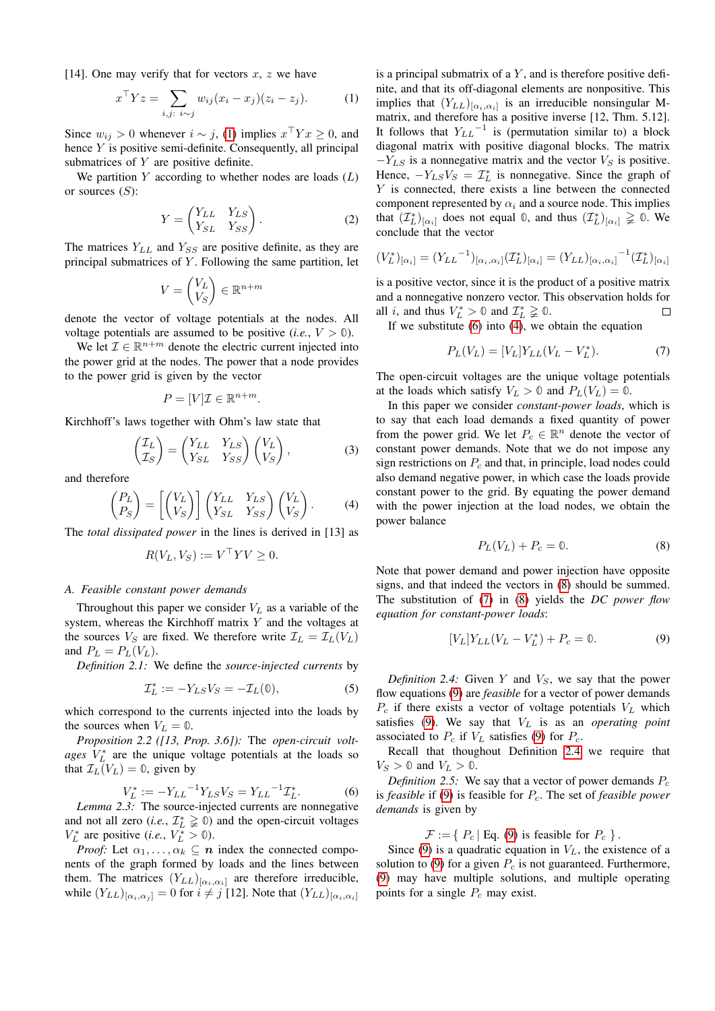[14]. One may verify that for vectors  $x, z$  we have

$$
x^{\top} Y z = \sum_{i,j: i \sim j} w_{ij} (x_i - x_j)(z_i - z_j). \tag{1}
$$

Since  $w_{ij} > 0$  whenever  $i \sim j$ , [\(1\)](#page-3-0) implies  $x^{\top} Y x \ge 0$ , and hence Y is positive semi-definite. Consequently, all principal submatrices of  $Y$  are positive definite.

We partition  $Y$  according to whether nodes are loads  $(L)$ or sources  $(S)$ :

$$
Y = \begin{pmatrix} Y_{LL} & Y_{LS} \\ Y_{SL} & Y_{SS} \end{pmatrix}.
$$
 (2)

The matrices  $Y_{LL}$  and  $Y_{SS}$  are positive definite, as they are principal submatrices of  $Y$ . Following the same partition, let

$$
V = \begin{pmatrix} V_L \\ V_S \end{pmatrix} \in \mathbb{R}^{n+m}
$$

denote the vector of voltage potentials at the nodes. All voltage potentials are assumed to be positive (*i.e.*,  $V > 0$ ).

We let  $\mathcal{I} \in \mathbb{R}^{n+m}$  denote the electric current injected into the power grid at the nodes. The power that a node provides to the power grid is given by the vector

$$
P = [V]\mathcal{I} \in \mathbb{R}^{n+m}.
$$

Kirchhoff's laws together with Ohm's law state that

$$
\begin{pmatrix} \mathcal{I}_L \\ \mathcal{I}_S \end{pmatrix} = \begin{pmatrix} Y_{LL} & Y_{LS} \\ Y_{SL} & Y_{SS} \end{pmatrix} \begin{pmatrix} V_L \\ V_S \end{pmatrix},
$$
(3)

and therefore

$$
\begin{pmatrix} P_L \\ P_S \end{pmatrix} = \begin{bmatrix} V_L \\ V_S \end{bmatrix} \begin{pmatrix} Y_{LL} & Y_{LS} \\ Y_{SL} & Y_{SS} \end{pmatrix} \begin{pmatrix} V_L \\ V_S \end{pmatrix}.
$$
 (4)

The *total dissipated power* in the lines is derived in [13] as

$$
R(V_L, V_S) := V^\top Y V \ge 0.
$$

# *A. Feasible constant power demands*

Throughout this paper we consider  $V_L$  as a variable of the system, whereas the Kirchhoff matrix Y and the voltages at the sources  $V_S$  are fixed. We therefore write  $\mathcal{I}_L = \mathcal{I}_L(V_L)$ and  $P_L = P_L(V_L)$ .

*Definition 2.1:* We define the *source-injected currents* by

$$
\mathcal{I}_L^* := -Y_{LS} V_S = -\mathcal{I}_L(\mathbb{0}),\tag{5}
$$

which correspond to the currents injected into the loads by the sources when  $V_L = 0$ .

*Proposition 2.2 ([13, Prop. 3.6]):* The *open-circuit volt* $ages$   $V_L^*$  are the unique voltage potentials at the loads so that  $\mathcal{I}_L(V_L) = \mathbb{0}$ , given by

$$
V_L^* := -Y_{LL}^{-1} Y_{LS} V_S = Y_{LL}^{-1} \mathcal{I}_L^*.
$$
 (6)

<span id="page-3-7"></span>*Lemma 2.3:* The source-injected currents are nonnegative and not all zero (*i.e.*,  $\mathcal{I}_L^* \geq 0$ ) and the open-circuit voltages  $V_L^*$  are positive (*i.e.*,  $V_L^* > 0$ ).

*Proof:* Let  $\alpha_1, \ldots, \alpha_k \subseteq n$  index the connected components of the graph formed by loads and the lines between them. The matrices  $(Y_{LL})_{[\alpha_i,\alpha_i]}$  are therefore irreducible, while  $(Y_{LL})_{[\alpha_i,\alpha_j]} = 0$  for  $i \neq j$  [12]. Note that  $(Y_{LL})_{[\alpha_i,\alpha_i]}$  <span id="page-3-0"></span>is a principal submatrix of a  $Y$ , and is therefore positive definite, and that its off-diagonal elements are nonpositive. This implies that  $(Y_{LL})_{[\alpha_i,\alpha_i]}$  is an irreducible nonsingular Mmatrix, and therefore has a positive inverse [12, Thm. 5.12]. It follows that  $Y_{LL}$ <sup>-1</sup> is (permutation similar to) a block diagonal matrix with positive diagonal blocks. The matrix  $-V_{LS}$  is a nonnegative matrix and the vector  $V_S$  is positive. Hence,  $-Y_{LS}V_S = T_L^*$  is nonnegative. Since the graph of  $Y$  is connected, there exists a line between the connected component represented by  $\alpha_i$  and a source node. This implies that  $(\mathcal{I}_L^*)_{[\alpha_i]}$  does not equal  $\mathbb{0}$ , and thus  $(\mathcal{I}_L^*)_{[\alpha_i]} \geq 0$ . We conclude that the vector

<span id="page-3-9"></span>
$$
(V_L^*)_{[\alpha_i]} = (Y_{LL}^{-1})_{[\alpha_i, \alpha_i]} (\mathcal{I}_L^*)_{[\alpha_i]} = (Y_{LL})_{[\alpha_i, \alpha_i]}^{-1} (\mathcal{I}_L^*)_{[\alpha_i]}
$$

is a positive vector, since it is the product of a positive matrix and a nonnegative nonzero vector. This observation holds for all *i*, and thus  $V_L^* > 0$  and  $\mathcal{I}_L^* \geq 0$ .  $\Box$ 

If we substitute  $(6)$  into  $(4)$ , we obtain the equation

<span id="page-3-4"></span>
$$
P_L(V_L) = [V_L] Y_{LL} (V_L - V_L^*).
$$
 (7)

The open-circuit voltages are the unique voltage potentials at the loads which satisfy  $V_L > 0$  and  $P_L(V_L) = 0$ .

In this paper we consider *constant-power loads*, which is to say that each load demands a fixed quantity of power from the power grid. We let  $P_c \in \mathbb{R}^n$  denote the vector of constant power demands. Note that we do not impose any sign restrictions on  $P_c$  and that, in principle, load nodes could also demand negative power, in which case the loads provide constant power to the grid. By equating the power demand with the power injection at the load nodes, we obtain the power balance

<span id="page-3-5"></span><span id="page-3-3"></span>
$$
P_L(V_L) + P_c = 0.
$$
 (8)

<span id="page-3-2"></span>Note that power demand and power injection have opposite signs, and that indeed the vectors in [\(8\)](#page-3-3) should be summed. The substitution of [\(7\)](#page-3-4) in [\(8\)](#page-3-3) yields the *DC power flow equation for constant-power loads*:

$$
[V_L]Y_{LL}(V_L - V_L^*) + P_c = 0.
$$
 (9)

<span id="page-3-8"></span><span id="page-3-6"></span>*Definition 2.4:* Given Y and  $V_s$ , we say that the power flow equations [\(9\)](#page-3-5) are *feasible* for a vector of power demands  $P_c$  if there exists a vector of voltage potentials  $V_L$  which satisfies  $(9)$ . We say that  $V<sub>L</sub>$  is as an *operating point* associated to  $P_c$  if  $V_L$  satisfies [\(9\)](#page-3-5) for  $P_c$ .

Recall that thoughout Definition [2.4](#page-3-6) we require that  $V_S > 0$  and  $V_L > 0$ .

<span id="page-3-1"></span>*Definition 2.5:* We say that a vector of power demands  $P_c$ is *feasible* if [\(9\)](#page-3-5) is feasible for  $P_c$ . The set of *feasible power demands* is given by

 $\mathcal{F} := \{ P_c \mid \text{Eq. (9) is feasible for } P_c \}.$  $\mathcal{F} := \{ P_c \mid \text{Eq. (9) is feasible for } P_c \}.$  $\mathcal{F} := \{ P_c \mid \text{Eq. (9) is feasible for } P_c \}.$ 

Since [\(9\)](#page-3-5) is a quadratic equation in  $V_L$ , the existence of a solution to [\(9\)](#page-3-5) for a given  $P_c$  is not guaranteed. Furthermore, [\(9\)](#page-3-5) may have multiple solutions, and multiple operating points for a single  $P_c$  may exist.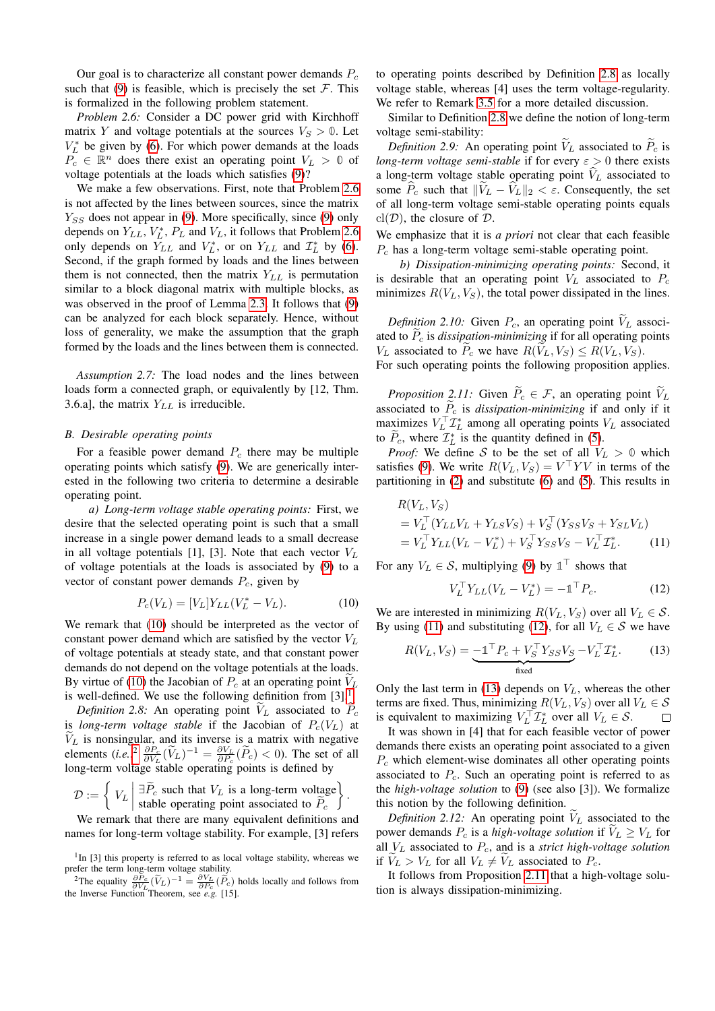Our goal is to characterize all constant power demands  $P_c$ such that [\(9\)](#page-3-5) is feasible, which is precisely the set  $\mathcal F$ . This is formalized in the following problem statement.

*Problem 2.6:* Consider a DC power grid with Kirchhoff matrix Y and voltage potentials at the sources  $V_S > 0$ . Let  $V_L^*$  be given by [\(6\)](#page-3-1). For which power demands at the loads  $P_c \in \mathbb{R}^n$  does there exist an operating point  $V_L > 0$  of voltage potentials at the loads which satisfies [\(9\)](#page-3-5)?

We make a few observations. First, note that Problem [2.6](#page-4-0) is not affected by the lines between sources, since the matrix  $Y_{SS}$  does not appear in [\(9\)](#page-3-5). More specifically, since (9) only depends on  $Y_{LL}$ ,  $V_L^*$ ,  $P_L$  and  $V_L$ , it follows that Problem [2.6](#page-4-0) only depends on  $Y_{LL}$  and  $V_L^*$ , or on  $Y_{LL}$  and  $\mathcal{I}_L^*$  by [\(6\)](#page-3-1). Second, if the graph formed by loads and the lines between them is not connected, then the matrix  $Y_{LL}$  is permutation similar to a block diagonal matrix with multiple blocks, as was observed in the proof of Lemma [2.3.](#page-3-7) It follows that [\(9\)](#page-3-5) can be analyzed for each block separately. Hence, without loss of generality, we make the assumption that the graph formed by the loads and the lines between them is connected.

*Assumption 2.7:* The load nodes and the lines between loads form a connected graph, or equivalently by [12, Thm. 3.6.a], the matrix  $Y_{LL}$  is irreducible.

#### *B. Desirable operating points*

For a feasible power demand  $P_c$  there may be multiple operating points which satisfy [\(9\)](#page-3-5). We are generically interested in the following two criteria to determine a desirable operating point.

*a) Long-term voltage stable operating points:* First, we desire that the selected operating point is such that a small increase in a single power demand leads to a small decrease in all voltage potentials [1], [3]. Note that each vector  $V_L$ of voltage potentials at the loads is associated by [\(9\)](#page-3-5) to a vector of constant power demands  $P_c$ , given by

$$
P_c(V_L) = [V_L]Y_{LL}(V_L^* - V_L). \tag{10}
$$

We remark that [\(10\)](#page-4-1) should be interpreted as the vector of constant power demand which are satisfied by the vector  $V_L$ of voltage potentials at steady state, and that constant power demands do not depend on the voltage potentials at the loads. By virtue of [\(10\)](#page-4-1) the Jacobian of  $P_c$  at an operating point  $V_L$ is well-defined. We use the following definition from  $[3]$ .<sup>[1](#page-4-2)</sup>

*Definition 2.8:* An operating point  $V_L$  associated to  $P_c$ is *long-term voltage stable* if the Jacobian of  $P_c(V_L)$  at  $V_L$  is nonsingular, and its inverse is a matrix with negative elements  $(i.e.,^2 \frac{\partial P_c}{\partial V_L}(\widetilde{V}_L)^{-1} = \frac{\partial V_L}{\partial P_c}(\widetilde{P}_c) < 0$  $(i.e.,^2 \frac{\partial P_c}{\partial V_L}(\widetilde{V}_L)^{-1} = \frac{\partial V_L}{\partial P_c}(\widetilde{P}_c) < 0$  $(i.e.,^2 \frac{\partial P_c}{\partial V_L}(\widetilde{V}_L)^{-1} = \frac{\partial V_L}{\partial P_c}(\widetilde{P}_c) < 0$ . The set of all long-term voltage stable operating points is defined by

$$
\mathcal{D} := \left\{ V_L \mid \exists \widetilde{P}_c \text{ such that } V_L \text{ is a long-term voltage} \right\}.
$$

We remark that there are many equivalent definitions and names for long-term voltage stability. For example, [3] refers to operating points described by Definition [2.8](#page-4-4) as locally voltage stable, whereas [4] uses the term voltage-regularity. We refer to Remark [3.5](#page-8-0) for a more detailed discussion.

<span id="page-4-9"></span><span id="page-4-0"></span>Similar to Definition [2.8](#page-4-4) we define the notion of long-term voltage semi-stability:

*Definition 2.9:* An operating point  $\widetilde{V}_L$  associated to  $\widetilde{P}_c$  is *long-term voltage semi-stable* if for every  $\varepsilon > 0$  there exists a long-term voltage stable operating point  $V_L$  associated to some  $\widehat{P}_c$  such that  $\|\widetilde{V}_L - \widehat{V}_L\|_2 < \varepsilon$ . Consequently, the set of all long-term voltage semi-stable operating points equals  $cl(\mathcal{D})$ , the closure of  $\mathcal{D}$ .

We emphasize that it is *a priori* not clear that each feasible  $P_c$  has a long-term voltage semi-stable operating point.

*b) Dissipation-minimizing operating points:* Second, it is desirable that an operating point  $V_L$  associated to  $P_c$ minimizes  $R(V_L, V_S)$ , the total power dissipated in the lines.

<span id="page-4-10"></span>*Definition 2.10:* Given  $P_c$ , an operating point  $V_L$  associated to  $\tilde{P}_c$  is *dissipation-minimizing* if for all operating points  $V_L$  associated to  $\tilde{P}_c$  we have  $R(\tilde{V}_L, V_S) \leq R(V_L, V_S)$ . For such operating points the following proposition applies.

<span id="page-4-8"></span>*Proposition 2.11:* Given  $\widetilde{P}_c \in \mathcal{F}$ , an operating point  $\widetilde{V}_L$ associated to  $\tilde{P}_c$  is *dissipation-minimizing* if and only if it maximizes  $V_L^{\top} \mathcal{I}_L^*$  among all operating points  $V_L$  associated to  $\tilde{P}_c$ , where  $\mathcal{I}_L^*$  is the quantity defined in [\(5\)](#page-3-8).

*Proof:* We define S to be the set of all  $V_L > 0$  which satisfies [\(9\)](#page-3-5). We write  $R(V_L, V_S) = V^\top Y V$  in terms of the partitioning in [\(2\)](#page-3-9) and substitute [\(6\)](#page-3-1) and [\(5\)](#page-3-8). This results in

$$
R(V_L, V_S)
$$
  
=  $V_L^{\top} (Y_{LL} V_L + Y_{LS} V_S) + V_S^{\top} (Y_{SS} V_S + Y_{SL} V_L)$   
=  $V_L^{\top} Y_{LL} (V_L - V_L^*) + V_S^{\top} Y_{SS} V_S - V_L^{\top} \mathcal{I}_L^*$ . (11)

For any  $V_L \in \mathcal{S}$ , multiplying [\(9\)](#page-3-5) by  $\mathbb{1}^{\top}$  shows that

<span id="page-4-7"></span><span id="page-4-6"></span><span id="page-4-5"></span>
$$
V_L^{\top} Y_{LL} (V_L - V_L^*) = -\mathbb{1}^{\top} P_c.
$$
 (12)

<span id="page-4-1"></span>We are interested in minimizing  $R(V_L, V_S)$  over all  $V_L \in S$ . By using [\(11\)](#page-4-5) and substituting [\(12\)](#page-4-6), for all  $V_L \in S$  we have

$$
R(V_L, V_S) = \underbrace{-\mathbb{1}^\top P_c + V_S^\top Y_{SS} V_S}_{\text{fixed}} - V_L^\top \mathcal{I}_L^*.
$$
 (13)

<span id="page-4-4"></span>Only the last term in [\(13\)](#page-4-7) depends on  $V_L$ , whereas the other terms are fixed. Thus, minimizing  $R(V_L, V_S)$  over all  $V_L \in S$ is equivalent to maximizing  $V_L^{\top} \mathcal{I}_L^*$  over all  $V_L \in \mathcal{S}$ .

It was shown in [4] that for each feasible vector of power demands there exists an operating point associated to a given  $P_c$  which element-wise dominates all other operating points associated to  $P_c$ . Such an operating point is referred to as the *high-voltage solution* to [\(9\)](#page-3-5) (see also [3]). We formalize this notion by the following definition.

<span id="page-4-11"></span>*Definition 2.12:* An operating point  $\widetilde{V}_L$  associated to the power demands  $P_c$  is a *high-voltage solution* if  $\tilde{V}_L \geq V_L$  for all V<sup>L</sup> associated to Pc, and is a *strict high-voltage solution* if  $V_L > V_L$  for all  $V_L \neq V_L$  associated to  $P_c$ .

<span id="page-4-12"></span>It follows from Proposition [2.11](#page-4-8) that a high-voltage solution is always dissipation-minimizing.

<span id="page-4-2"></span><sup>&</sup>lt;sup>1</sup>In [3] this property is referred to as local voltage stability, whereas we prefer the term long-term voltage stability.

<span id="page-4-3"></span><sup>&</sup>lt;sup>2</sup>The equality  $\frac{\partial P_c}{\partial V_L}(\tilde{V}_L)^{-1} = \frac{\partial V_L}{\partial P_c}(\tilde{P}_c)$  holds locally and follows from the Inverse Function Theorem, see *e.g.* [15].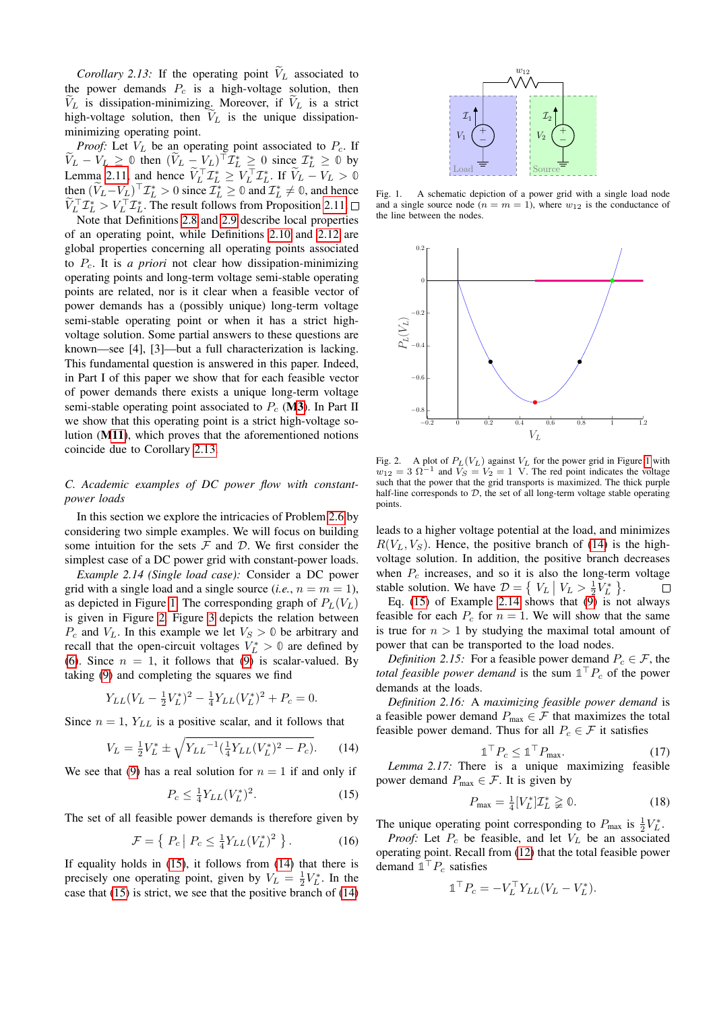*Corollary 2.13:* If the operating point  $V_L$  associated to the power demands  $P_c$  is a high-voltage solution, then  $V_L$  is dissipation-minimizing. Moreover, if  $V_L$  is a strict high-voltage solution, then  $V_L$  is the unique dissipationminimizing operating point.

*Proof:* Let  $V_L$  be an operating point associated to  $P_c$ . If  $\widetilde{V}_L - V_L \geq 0$  then  $(\widetilde{V}_L - V_L)^\top \mathcal{I}_L^* \geq 0$  since  $\mathcal{I}_L^* \geq 0$  by Lemma [2.11,](#page-4-8) and hence  $\tilde{V}_L^\top \mathcal{I}_L^* \geq V_L^\top \mathcal{I}_L^*$ . If  $\tilde{V}_L - V_L > 0$ then  $(\tilde{V}_L - V_L)^\top \mathcal{I}_L^* > 0$  since  $\mathcal{I}_L^* \geq 0$  and  $\mathcal{I}_L^* \neq 0$ , and hence  $\widetilde{V}_L^\top \mathcal{I}_L^* > V_L^\top \mathcal{I}_L^*$ . The result follows from Proposition [2.11.](#page-4-8)

Note that Definitions [2.8](#page-4-4) and [2.9](#page-4-9) describe local properties of an operating point, while Definitions [2.10](#page-4-10) and [2.12](#page-4-11) are global properties concerning all operating points associated to Pc. It is *a priori* not clear how dissipation-minimizing operating points and long-term voltage semi-stable operating points are related, nor is it clear when a feasible vector of power demands has a (possibly unique) long-term voltage semi-stable operating point or when it has a strict highvoltage solution. Some partial answers to these questions are known—see [4], [3]—but a full characterization is lacking. This fundamental question is answered in this paper. Indeed, in Part I of this paper we show that for each feasible vector of power demands there exists a unique long-term voltage semi-stable operating point associated to  $P_c$  ([M3](#page-1-2)). In Part II we show that this operating point is a strict high-voltage solution ([M11](#page-1-4)), which proves that the aforementioned notions coincide due to Corollary [2.13.](#page-4-12)

# *C. Academic examples of DC power flow with constantpower loads*

In this section we explore the intricacies of Problem [2.6](#page-4-0) by considering two simple examples. We will focus on building some intuition for the sets  $\mathcal F$  and  $\mathcal D$ . We first consider the simplest case of a DC power grid with constant-power loads.

<span id="page-5-4"></span>*Example 2.14 (Single load case):* Consider a DC power grid with a single load and a single source (*i.e.*,  $n = m = 1$ ), as depicted in Figure [1.](#page-5-0) The corresponding graph of  $P_L(V_L)$ is given in Figure [2.](#page-5-1) Figure [3](#page-6-0) depicts the relation between  $P_c$  and  $V_L$ . In this example we let  $V_S > 0$  be arbitrary and recall that the open-circuit voltages  $V_L^* > 0$  are defined by [\(6\)](#page-3-1). Since  $n = 1$ , it follows that [\(9\)](#page-3-5) is scalar-valued. By taking [\(9\)](#page-3-5) and completing the squares we find

$$
Y_{LL}(V_L - \frac{1}{2}V_L^*)^2 - \frac{1}{4}Y_{LL}(V_L^*)^2 + P_c = 0.
$$

Since  $n = 1$ ,  $Y_{LL}$  is a positive scalar, and it follows that

$$
V_L = \frac{1}{2} V_L^* \pm \sqrt{Y_{LL}^{-1} (\frac{1}{4} Y_{LL} (V_L^*)^2 - P_c)}.
$$
 (14)

We see that [\(9\)](#page-3-5) has a real solution for  $n = 1$  if and only if

$$
P_c \le \frac{1}{4} Y_{LL} (V_L^*)^2. \tag{15}
$$

The set of all feasible power demands is therefore given by

$$
\mathcal{F} = \left\{ \left. P_c \right| P_c \le \frac{1}{4} Y_{LL} (V_L^*)^2 \right. \right\}.
$$
 (16)

If equality holds in  $(15)$ , it follows from  $(14)$  that there is precisely one operating point, given by  $V_L = \frac{1}{2} V_L^*$ . In the case that [\(15\)](#page-5-2) is strict, we see that the positive branch of [\(14\)](#page-5-3)



<span id="page-5-0"></span>Fig. 1. A schematic depiction of a power grid with a single load node and a single source node  $(n = m = 1)$ , where  $w_{12}$  is the conductance of the line between the nodes.



<span id="page-5-1"></span>Fig. 2. A plot of  $P_L(V_L)$  against  $V_L$  for the power grid in Figure [1](#page-5-0) with  $w_{12} = 3 \Omega^{-1}$  and  $V_S = V_2 = 1$  V. The red point indicates the voltage such that the power that the grid transports is maximized. The thick purple half-line corresponds to  $D$ , the set of all long-term voltage stable operating points.

leads to a higher voltage potential at the load, and minimizes  $R(V_L, V_S)$ . Hence, the positive branch of [\(14\)](#page-5-3) is the highvoltage solution. In addition, the positive branch decreases when  $P_c$  increases, and so it is also the long-term voltage stable solution. We have  $\mathcal{D} = \left\{ V_L \mid V_L > \frac{1}{2} V_L^* \right\}$ .  $\Box$ 

Eq. [\(15\)](#page-5-2) of Example [2.14](#page-5-4) shows that  $(9)$  is not always feasible for each  $P_c$  for  $n = 1$ . We will show that the same is true for  $n > 1$  by studying the maximal total amount of power that can be transported to the load nodes.

*Definition 2.15:* For a feasible power demand  $P_c \in \mathcal{F}$ , the *total feasible power demand* is the sum  $\mathbb{1}^\top P_c$  of the power demands at the loads.

*Definition 2.16:* A *maximizing feasible power demand* is a feasible power demand  $P_{\text{max}} \in \mathcal{F}$  that maximizes the total feasible power demand. Thus for all  $P_c \in \mathcal{F}$  it satisfies

<span id="page-5-6"></span><span id="page-5-5"></span>
$$
\mathbb{1}^{\top} P_c \le \mathbb{1}^{\top} P_{\text{max}}.\tag{17}
$$

<span id="page-5-8"></span><span id="page-5-3"></span><span id="page-5-2"></span>*Lemma 2.17:* There is a unique maximizing feasible power demand  $P_{\text{max}} \in \mathcal{F}$ . It is given by

$$
P_{\text{max}} = \frac{1}{4} [V_L^*] \mathcal{I}_L^* \geq 0. \tag{18}
$$

<span id="page-5-7"></span>The unique operating point corresponding to  $P_{\text{max}}$  is  $\frac{1}{2}V_L^*$ . *Proof:* Let  $P_c$  be feasible, and let  $V_L$  be an associated

operating point. Recall from (12) that the total feasible power demand 
$$
\mathbb{1}^T P_c
$$
 satisfies

$$
\mathbb{1}^\top P_c = -V_L^\top Y_{LL}(V_L - V_L^*).
$$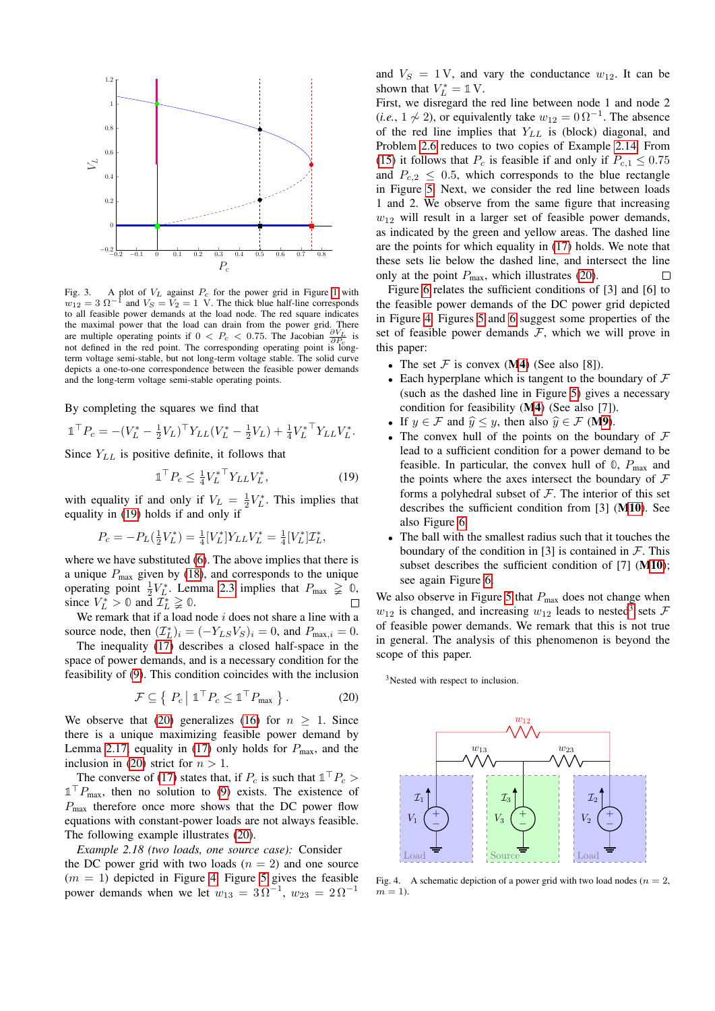

<span id="page-6-0"></span>Fig. 3. A plot of  $V_L$  against  $P_c$  for the power grid in Figure [1](#page-5-0) with  $w_{12} = 3 \Omega^{-1}$  and  $V_S = V_2 = 1$  V. The thick blue half-line corresponds to all feasible power demands at the load node. The red square indicates the maximal power that the load can drain from the power grid. There are multiple operating points if  $0 < P_c < 0.75$ . The Jacobian  $\frac{\partial V_L}{\partial P_c}$  is not defined in the red point. The corresponding operating point is longterm voltage semi-stable, but not long-term voltage stable. The solid curve depicts a one-to-one correspondence between the feasible power demands and the long-term voltage semi-stable operating points.

By completing the squares we find that

$$
\mathbb{1}^{\top} P_c = -(V_L^* - \frac{1}{2}V_L)^{\top} Y_{LL} (V_L^* - \frac{1}{2}V_L) + \frac{1}{4}V_L^{* \top} Y_{LL} V_L^*.
$$

Since  $Y_{LL}$  is positive definite, it follows that

$$
\mathbb{1}^{\top} P_c \le \frac{1}{4} V_L^{\ast \top} Y_{LL} V_L^{\ast},\tag{19}
$$

with equality if and only if  $V_L = \frac{1}{2} V_L^*$ . This implies that equality in [\(19\)](#page-6-1) holds if and only if

$$
P_c = -P_L(\frac{1}{2}V_L^*) = \frac{1}{4}[V_L^*]Y_{LL}V_L^* = \frac{1}{4}[V_L^*]\mathcal{I}_L^*,
$$

where we have substituted [\(6\)](#page-3-1). The above implies that there is a unique  $P_{\text{max}}$  given by [\(18\)](#page-5-5), and corresponds to the unique operating point  $\frac{1}{2}V_L^*$ . Lemma [2.3](#page-3-7) implies that  $P_{\text{max}} \geq 0$ , since  $V_L^* > 0$  and  $\overline{\mathcal{I}_L^*} \geq 0$ .  $\Box$ 

We remark that if a load node  $i$  does not share a line with a source node, then  $(\mathcal{I}_L^*)_i = (-Y_{LS}V_S)_i = 0$ , and  $P_{\text{max},i} = 0$ .

The inequality [\(17\)](#page-5-6) describes a closed half-space in the space of power demands, and is a necessary condition for the feasibility of [\(9\)](#page-3-5). This condition coincides with the inclusion

$$
\mathcal{F} \subseteq \left\{ \left. P_c \right| \mathbb{1}^\top P_c \leq \mathbb{1}^\top P_{\text{max}} \right\}. \tag{20}
$$

We observe that [\(20\)](#page-6-2) generalizes [\(16\)](#page-5-7) for  $n > 1$ . Since there is a unique maximizing feasible power demand by Lemma [2.17,](#page-5-8) equality in [\(17\)](#page-5-6) only holds for  $P_{\text{max}}$ , and the inclusion in [\(20\)](#page-6-2) strict for  $n > 1$ .

The converse of [\(17\)](#page-5-6) states that, if  $P_c$  is such that  $\mathbb{1}^\top P_c$  $\mathbb{1}^\top P_{\text{max}}$ , then no solution to [\(9\)](#page-3-5) exists. The existence of  $P_{\text{max}}$  therefore once more shows that the DC power flow equations with constant-power loads are not always feasible. The following example illustrates [\(20\)](#page-6-2).

# *Example 2.18 (two loads, one source case):* Consider the DC power grid with two loads  $(n = 2)$  and one source  $(m = 1)$  depicted in Figure [4.](#page-6-3) Figure [5](#page-7-1) gives the feasible power demands when we let  $w_{13} = 3\Omega^{-1}$ ,  $w_{23} = 2\Omega^{-1}$

and  $V_S = 1 \text{ V}$ , and vary the conductance  $w_{12}$ . It can be shown that  $V_L^* = \mathbb{1} V$ .

First, we disregard the red line between node 1 and node 2 (*i.e.*,  $1 \nsim 2$ ), or equivalently take  $w_{12} = 0 \Omega^{-1}$ . The absence of the red line implies that  $Y_{LL}$  is (block) diagonal, and Problem [2.6](#page-4-0) reduces to two copies of Example [2.14.](#page-5-4) From [\(15\)](#page-5-2) it follows that  $P_c$  is feasible if and only if  $P_{c,1} \le 0.75$ and  $P_{c,2} \leq 0.5$ , which corresponds to the blue rectangle in Figure [5.](#page-7-1) Next, we consider the red line between loads 1 and 2. We observe from the same figure that increasing  $w_{12}$  will result in a larger set of feasible power demands, as indicated by the green and yellow areas. The dashed line are the points for which equality in [\(17\)](#page-5-6) holds. We note that these sets lie below the dashed line, and intersect the line only at the point  $P_{\text{max}}$ , which illustrates [\(20\)](#page-6-2).  $\Box$ 

Figure [6](#page-7-2) relates the sufficient conditions of [3] and [6] to the feasible power demands of the DC power grid depicted in Figure [4.](#page-6-3) Figures [5](#page-7-1) and [6](#page-7-2) suggest some properties of the set of feasible power demands  $F$ , which we will prove in this paper:

- The set  $\mathcal F$  is convex ([M4](#page-1-3)) (See also [8]).
- Each hyperplane which is tangent to the boundary of  $\mathcal F$ (such as the dashed line in Figure [5\)](#page-7-1) gives a necessary condition for feasibility ([M4](#page-1-3)) (See also [7]).
- If  $y \in \mathcal{F}$  and  $\hat{y} \leq y$ , then also  $\hat{y} \in \mathcal{F}$  ([M9](#page-1-7)).<br>• The convex hull of the points on the bour
- <span id="page-6-1"></span>The convex hull of the points on the boundary of  $\mathcal F$ lead to a sufficient condition for a power demand to be feasible. In particular, the convex hull of  $\mathbb{O}$ ,  $P_{\text{max}}$  and the points where the axes intersect the boundary of  $\mathcal F$ forms a polyhedral subset of  $\mathcal F$ . The interior of this set describes the sufficient condition from [3] ([M10](#page-1-8)). See also Figure [6.](#page-7-2)
- The ball with the smallest radius such that it touches the boundary of the condition in [3] is contained in  $\mathcal F$ . This subset describes the sufficient condition of [7] ([M10](#page-1-8)); see again Figure [6.](#page-7-2)

We also observe in Figure [5](#page-7-1) that  $P_{\text{max}}$  does not change when  $w_{12}$  is changed, and increasing  $w_{12}$  leads to nested<sup>[3](#page-6-4)</sup> sets  $\mathcal{F}$ of feasible power demands. We remark that this is not true in general. The analysis of this phenomenon is beyond the scope of this paper.

<span id="page-6-4"></span><span id="page-6-2"></span><sup>3</sup>Nested with respect to inclusion.



<span id="page-6-3"></span>Fig. 4. A schematic depiction of a power grid with two load nodes ( $n = 2$ ,  $m = 1$ ).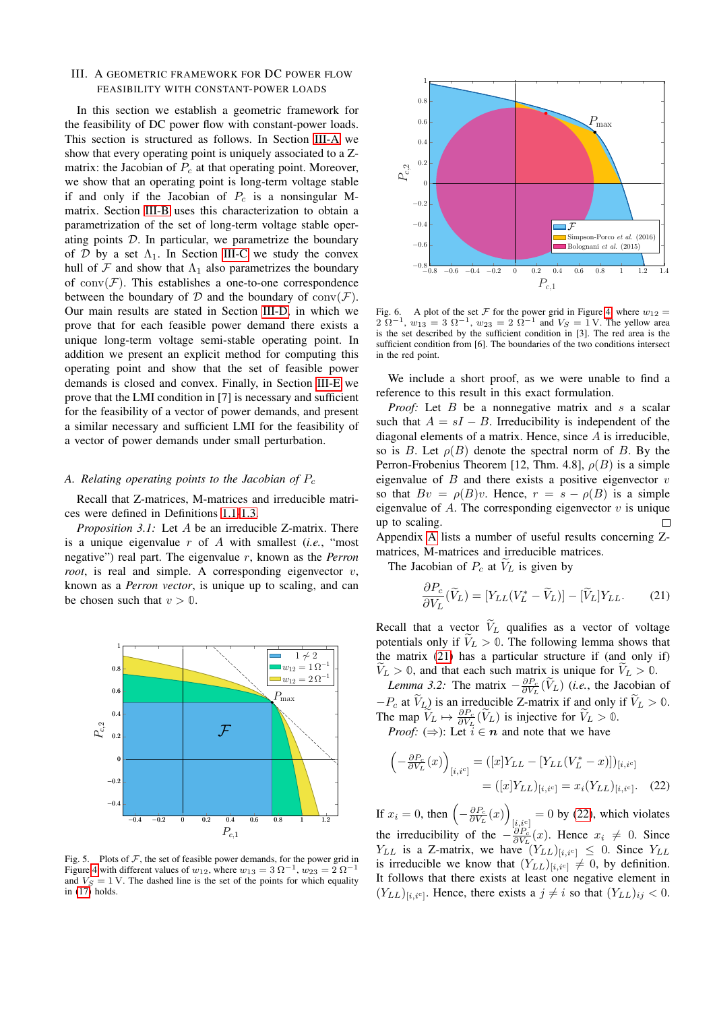# <span id="page-7-0"></span>III. A GEOMETRIC FRAMEWORK FOR DC POWER FLOW FEASIBILITY WITH CONSTANT-POWER LOADS

In this section we establish a geometric framework for the feasibility of DC power flow with constant-power loads. This section is structured as follows. In Section [III-A](#page-7-3) we show that every operating point is uniquely associated to a Zmatrix: the Jacobian of  $P_c$  at that operating point. Moreover, we show that an operating point is long-term voltage stable if and only if the Jacobian of  $P_c$  is a nonsingular Mmatrix. Section [III-B](#page-8-1) uses this characterization to obtain a parametrization of the set of long-term voltage stable operating points D. In particular, we parametrize the boundary of  $D$  by a set  $\Lambda_1$ . In Section [III-C](#page-9-1) we study the convex hull of  $\mathcal F$  and show that  $\Lambda_1$  also parametrizes the boundary of  $conv(\mathcal{F})$ . This establishes a one-to-one correspondence between the boundary of  $D$  and the boundary of conv $(F)$ . Our main results are stated in Section [III-D,](#page-10-1) in which we prove that for each feasible power demand there exists a unique long-term voltage semi-stable operating point. In addition we present an explicit method for computing this operating point and show that the set of feasible power demands is closed and convex. Finally, in Section [III-E](#page-11-3) we prove that the LMI condition in [7] is necessary and sufficient for the feasibility of a vector of power demands, and present a similar necessary and sufficient LMI for the feasibility of a vector of power demands under small perturbation.

# <span id="page-7-3"></span>*A. Relating operating points to the Jacobian of* P<sup>c</sup>

Recall that Z-matrices, M-matrices and irreducible matrices were defined in Definitions [1.1-](#page-2-1)[1.3.](#page-2-2)

*Proposition 3.1:* Let A be an irreducible Z-matrix. There is a unique eigenvalue r of A with smallest (*i.e.*, "most negative") real part. The eigenvalue r, known as the *Perron root*, is real and simple. A corresponding eigenvector v, known as a *Perron vector*, is unique up to scaling, and can be chosen such that  $v > 0$ .



<span id="page-7-1"></span>Fig. 5. Plots of  $F$ , the set of feasible power demands, for the power grid in Figure [4](#page-6-3) with different values of  $w_{12}$ , where  $w_{13} = 3 \Omega^{-1}$ ,  $w_{23} = 2 \Omega^{-1}$ and  $V_S = 1$  V. The dashed line is the set of the points for which equality in [\(17\)](#page-5-6) holds.



<span id="page-7-2"></span>Fig. 6. A plot of the set  $\mathcal F$  for the power grid in Figure [4,](#page-6-3) where  $w_{12} = 2 \Omega^{-1}$ ,  $w_{13} = 3 \Omega^{-1}$ ,  $w_{23} = 2 \Omega^{-1}$  and  $V_S = 1$  V. The yellow area is the set described by the sufficient condition in [3]. The red area is the sufficient condition from [6]. The boundaries of the two conditions intersect in the red point.

We include a short proof, as we were unable to find a reference to this result in this exact formulation.

*Proof:* Let B be a nonnegative matrix and s a scalar such that  $A = sI - B$ . Irreducibility is independent of the diagonal elements of a matrix. Hence, since A is irreducible, so is B. Let  $\rho(B)$  denote the spectral norm of B. By the Perron-Frobenius Theorem [12, Thm. 4.8],  $\rho(B)$  is a simple eigenvalue of  $B$  and there exists a positive eigenvector  $v$ so that  $Bv = \rho(B)v$ . Hence,  $r = s - \rho(B)$  is a simple eigenvalue of  $A$ . The corresponding eigenvector  $v$  is unique  $\Box$ up to scaling.

Appendix [A](#page-12-1) lists a number of useful results concerning Zmatrices, M-matrices and irreducible matrices.

The Jacobian of  $P_c$  at  $V_L$  is given by

<span id="page-7-6"></span><span id="page-7-4"></span>
$$
\frac{\partial P_c}{\partial V_L}(\widetilde{V}_L) = [Y_{LL}(V_L^* - \widetilde{V}_L)] - [\widetilde{V}_L]Y_{LL}.\tag{21}
$$

Recall that a vector  $V_L$  qualifies as a vector of voltage potentials only if  $V_L > 0$ . The following lemma shows that the matrix [\(21\)](#page-7-4) has a particular structure if (and only if)  $V_L > 0$ , and that each such matrix is unique for  $V_L > 0$ .

*Lemma 3.2:* The matrix  $-\frac{\partial P_c}{\partial V_L}(\widetilde{V}_L)$  (*i.e.*, the Jacobian of  $-P_c$  at  $V_L$ ) is an irreducible Z-matrix if and only if  $V_L > 0$ . The map  $\widetilde{V}_L \mapsto \frac{\partial P_c}{\partial V_L}(\widetilde{V}_L)$  is injective for  $\widetilde{V}_L > 0$ . *Proof:* ( $\Rightarrow$ ): Let  $\tilde{i} \in n$  and note that we have

<span id="page-7-5"></span>
$$
\begin{aligned}\n\left(-\frac{\partial P_c}{\partial V_L}(x)\right)_{[i,i^c]} &= ([x]Y_{LL} - [Y_{LL}(V_L^* - x)])_{[i,i^c]} \\
&= ([x]Y_{LL})_{[i,i^c]} = x_i(Y_{LL})_{[i,i^c]}.\n\end{aligned}
$$
(22)

If  $x_i = 0$ , then  $\left(-\frac{\partial P_c}{\partial V_L}(x)\right)$  $[i, i^c] = 0$  by [\(22\)](#page-7-5), which violates the irreducibility of the  $-\frac{\partial P_c}{\partial V_L}(x)$ . Hence  $x_i \neq 0$ . Since  $Y_{LL}$  is a Z-matrix, we have  $(Y_{LL})_{[i,i^c]} \leq 0$ . Since  $Y_{LL}$ is irreducible we know that  $(Y_{LL})_{[i,i^c]} \neq 0$ , by definition. It follows that there exists at least one negative element in  $(Y_{LL})_{[i,i^c]}$ . Hence, there exists a  $j \neq i$  so that  $(Y_{LL})_{ij} < 0$ .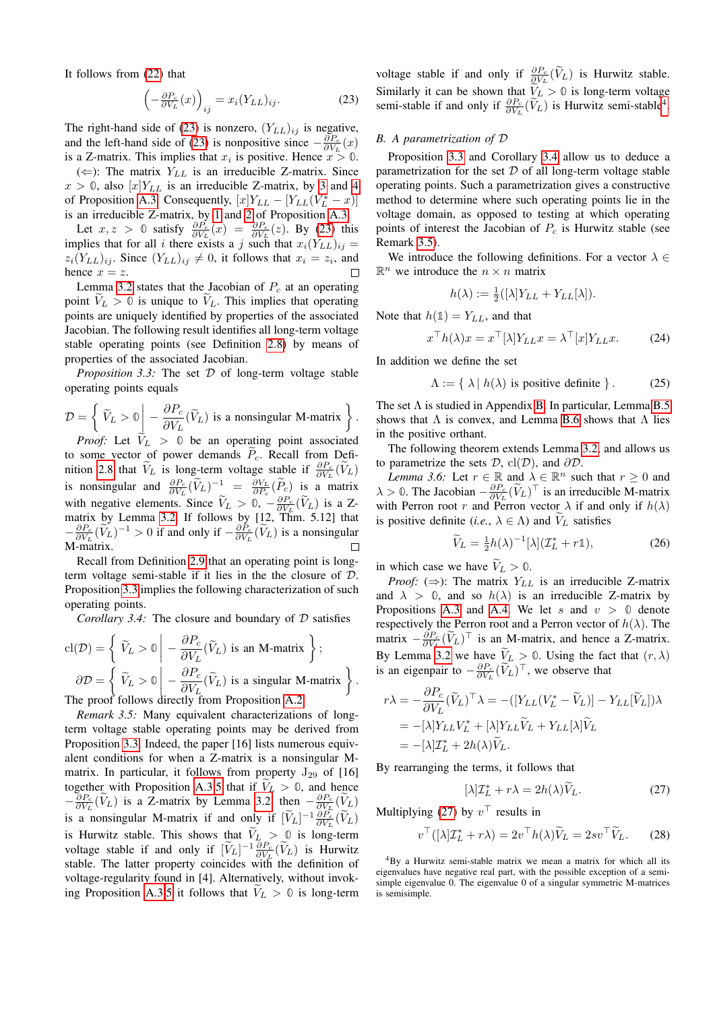It follows from [\(22\)](#page-7-5) that

$$
\left(-\frac{\partial P_c}{\partial V_L}(x)\right)_{ij} = x_i (Y_{LL})_{ij}.
$$
\n(23)

The right-hand side of [\(23\)](#page-8-2) is nonzero,  $(Y_{LL})_{ij}$  is negative, and the left-hand side of [\(23\)](#page-8-2) is nonpositive since  $-\frac{\partial P_c}{\partial V_L}(x)$ is a Z-matrix. This implies that  $x_i$  is positive. Hence  $x > 0$ .

 $(\Leftarrow)$ : The matrix  $Y_{LL}$  is an irreducible Z-matrix. Since  $x > 0$ , also  $[x]Y_{LL}$  is an irreducible Z-matrix, by [3](#page-12-2) and [4](#page-12-3) of Proposition [A.3.](#page-12-4) Consequently,  $[x]Y_{LL} - [Y_{LL}(V_L^* - x)]$ is an irreducible Z-matrix, by [1](#page-12-5) and [2](#page-12-6) of Proposition [A.3.](#page-12-4)

Let  $x, z > 0$  satisfy  $\frac{\partial P_c}{\partial V_L}(x) = \frac{\partial P_c}{\partial V_L}(z)$ . By [\(23\)](#page-8-2) this implies that for all i there exists a j such that  $x_i(Y_{LL})_{ij} =$  $z_i(Y_{LL})_{ij}$ . Since  $(Y_{LL})_{ij} \neq 0$ , it follows that  $x_i = z_i$ , and hence  $x = z$ .

Lemma [3.2](#page-7-6) states that the Jacobian of  $P_c$  at an operating point  $V_L > 0$  is unique to  $V_L$ . This implies that operating points are uniquely identified by properties of the associated Jacobian. The following result identifies all long-term voltage stable operating points (see Definition [2.8\)](#page-4-4) by means of properties of the associated Jacobian.

*Proposition 3.3:* The set  $D$  of long-term voltage stable operating points equals

$$
\mathcal{D} = \left\{ \left. \widetilde{V}_L > 0 \right| - \frac{\partial P_c}{\partial V_L}(\widetilde{V}_L) \text{ is a nonsingular M-matrix} \right\}.
$$

*Proof:* Let  $V_L > 0$  be an operating point associated to some vector of power demands  $\tilde{P}_c$ . Recall from Defi-nition [2.8](#page-4-4) that  $\widetilde{V}_L$  is long-term voltage stable if  $\frac{\partial P_c}{\partial V_L}(\widetilde{V}_L)$ is nonsingular and  $\frac{\partial P_c}{\partial V_L}(\widetilde{V}_L)^{-1} = \frac{\partial V_L}{\partial P_c}(\widetilde{P}_c)$  is a matrix with negative elements. Since  $\tilde{V}_L > 0$ ,  $-\frac{\partial P_c}{\partial V_L}(\tilde{V}_L)$  is a Z-<br>matrix by Lemma [3.2.](#page-7-6) If follows by [12, Thm. 5.12] that  $-\frac{\partial P_c}{\partial V_L}(\widetilde{V}_L)^{-1} > 0$  if and only if  $-\frac{\partial P_c}{\partial V_L}(\widetilde{V}_L)$  is a nonsingular M-matrix.

Recall from Definition [2.9](#page-4-9) that an operating point is longterm voltage semi-stable if it lies in the the closure of D. Proposition [3.3](#page-8-3) implies the following characterization of such operating points.

<span id="page-8-5"></span>*Corollary 3.4:* The closure and boundary of D satisfies

$$
cl(\mathcal{D}) = \left\{ \begin{array}{l} \tilde{V}_L > 0 \Big| -\frac{\partial P_c}{\partial V_L} (\tilde{V}_L) \text{ is an M-matrix} \end{array} \right\};
$$
  

$$
\partial \mathcal{D} = \left\{ \begin{array}{l} \tilde{V}_L > 0 \Big| -\frac{\partial P_c}{\partial V_L} (\tilde{V}_L) \text{ is a singular M-matrix} \end{array} \right\}
$$
  
The proof follows directly from Proposition A.2.

<span id="page-8-0"></span>*Remark 3.5:* Many equivalent characterizations of longterm voltage stable operating points may be derived from Proposition [3.3.](#page-8-3) Indeed, the paper [16] lists numerous equivalent conditions for when a Z-matrix is a nonsingular Mmatrix. In particular, it follows from property  $J_{29}$  of [16] together with Proposition [A.3.](#page-12-4)[5](#page-12-8) that if  $V_L > 0$ , and hence  $-\frac{\partial P_c}{\partial V_L}(\widetilde{V}_L)$  is a Z-matrix by Lemma [3.2,](#page-7-6) then  $-\frac{\partial P_c}{\partial V_L}(\widetilde{V}_L)$ is a nonsingular M-matrix if and only if  $[\widetilde{V}_L]^{-1} \frac{\partial P_c}{\partial V_L} (\widetilde{V}_L)$ is Hurwitz stable. This shows that  $V_L > 0$  is long-term voltage stable if and only if  $[\tilde{V}_L]^{-1} \frac{\partial P_c}{\partial V_L}(\tilde{V}_L)$  is Hurwitz stable. The latter property coincides with the definition of voltage-regularity found in [4]. Alternatively, without invok-ing Proposition [A.3](#page-12-4)[.5](#page-12-8) it follows that  $V_L > 0$  is long-term <span id="page-8-2"></span>voltage stable if and only if  $\frac{\partial P_c}{\partial V_L}(\tilde{V}_L)$  is Hurwitz stable. Similarly it can be shown that  $V_L > 0$  is long-term voltage semi-stable if and only if  $\frac{\partial P_c}{\partial V_L}(\widetilde{V}_L)$  is Hurwitz semi-stable<sup>[4](#page-8-4)</sup>.

## <span id="page-8-1"></span>*B. A parametrization of* D

Proposition [3.3](#page-8-3) and Corollary [3.4](#page-8-5) allow us to deduce a parametrization for the set  $D$  of all long-term voltage stable operating points. Such a parametrization gives a constructive method to determine where such operating points lie in the voltage domain, as opposed to testing at which operating points of interest the Jacobian of  $P_c$  is Hurwitz stable (see Remark [3.5\)](#page-8-0).

We introduce the following definitions. For a vector  $\lambda \in$  $\mathbb{R}^n$  we introduce the  $n \times n$  matrix

<span id="page-8-11"></span><span id="page-8-10"></span>
$$
h(\lambda) := \frac{1}{2}([\lambda]Y_{LL} + Y_{LL}[\lambda]).
$$

Note that  $h(1) = Y_{LL}$ , and that

$$
x^{\top}h(\lambda)x = x^{\top}[\lambda]Y_{LL}x = \lambda^{\top}[x]Y_{LL}x.
$$
 (24)

<span id="page-8-3"></span>In addition we define the set

$$
\Lambda := \{ \lambda \mid h(\lambda) \text{ is positive definite } \}.
$$
 (25)

The set  $\Lambda$  is studied in Appendix [B.](#page-12-9) In particular, Lemma [B.5](#page-12-10) shows that  $\Lambda$  is convex, and Lemma [B.6](#page-12-11) shows that  $\Lambda$  lies in the positive orthant.

The following theorem extends Lemma [3.2,](#page-7-6) and allows us to parametrize the sets  $\mathcal{D}$ , cl( $\mathcal{D}$ ), and  $\partial \mathcal{D}$ .

*Lemma 3.6:* Let  $r \in \mathbb{R}$  and  $\lambda \in \mathbb{R}^n$  such that  $r \geq 0$  and  $\lambda > 0$ . The Jacobian  $-\frac{\partial P_c}{\partial V_L}(\tilde{V}_L)^\top$  is an irreducible M-matrix with Perron root r and Perron vector  $\lambda$  if and only if  $h(\lambda)$ is positive definite (*i.e.*,  $\lambda \in \Lambda$ ) and  $V_L$  satisfies

<span id="page-8-9"></span><span id="page-8-8"></span>
$$
\widetilde{V}_L = \frac{1}{2}h(\lambda)^{-1}[\lambda](\mathcal{I}_L^* + r\mathbb{1}),\tag{26}
$$

in which case we have  $V_L > 0$ .

.

*Proof:* ( $\Rightarrow$ ): The matrix  $Y_{LL}$  is an irreducible Z-matrix and  $\lambda > 0$ , and so  $h(\lambda)$  is an irreducible Z-matrix by Propositions [A.3](#page-12-4) and [A.4.](#page-12-12) We let s and  $v > 0$  denote respectively the Perron root and a Perron vector of  $h(\lambda)$ . The matrix  $-\frac{\partial P_c}{\partial V_L}(\widetilde{V}_L)^{\top}$  is an M-matrix, and hence a Z-matrix. By Lemma [3.2](#page-7-6) we have  $V_L > 0$ . Using the fact that  $(r, \lambda)$ is an eigenpair to  $-\frac{\partial P_c}{\partial V_L}(\tilde{V}_L)^{\top}$ , we observe that

$$
r\lambda = -\frac{\partial P_c}{\partial V_L} (\widetilde{V}_L)^{\top} \lambda = -([Y_{LL}(V_L^* - \widetilde{V}_L)] - Y_{LL}[\widetilde{V}_L])\lambda
$$
  
= -[\lambda]Y\_{LL}V\_L^\* + [\lambda]Y\_{LL}\widetilde{V}\_L + Y\_{LL}[\lambda]\widetilde{V}\_L  
= -[\lambda]T\_L^\* + 2h(\lambda)\widetilde{V}\_L.

By rearranging the terms, it follows that

<span id="page-8-7"></span><span id="page-8-6"></span>
$$
[\lambda] \mathcal{I}_L^* + r\lambda = 2h(\lambda)\widetilde{V}_L. \tag{27}
$$

Multiplying [\(27\)](#page-8-6) by  $v^{\top}$  results in

$$
v^{\top}([\lambda]\mathcal{I}_L^* + r\lambda) = 2v^{\top}h(\lambda)\widetilde{V}_L = 2sv^{\top}\widetilde{V}_L.
$$
 (28)

<span id="page-8-4"></span> ${}^{4}$ By a Hurwitz semi-stable matrix we mean a matrix for which all its eigenvalues have negative real part, with the possible exception of a semisimple eigenvalue 0. The eigenvalue 0 of a singular symmetric M-matrices is semisimple.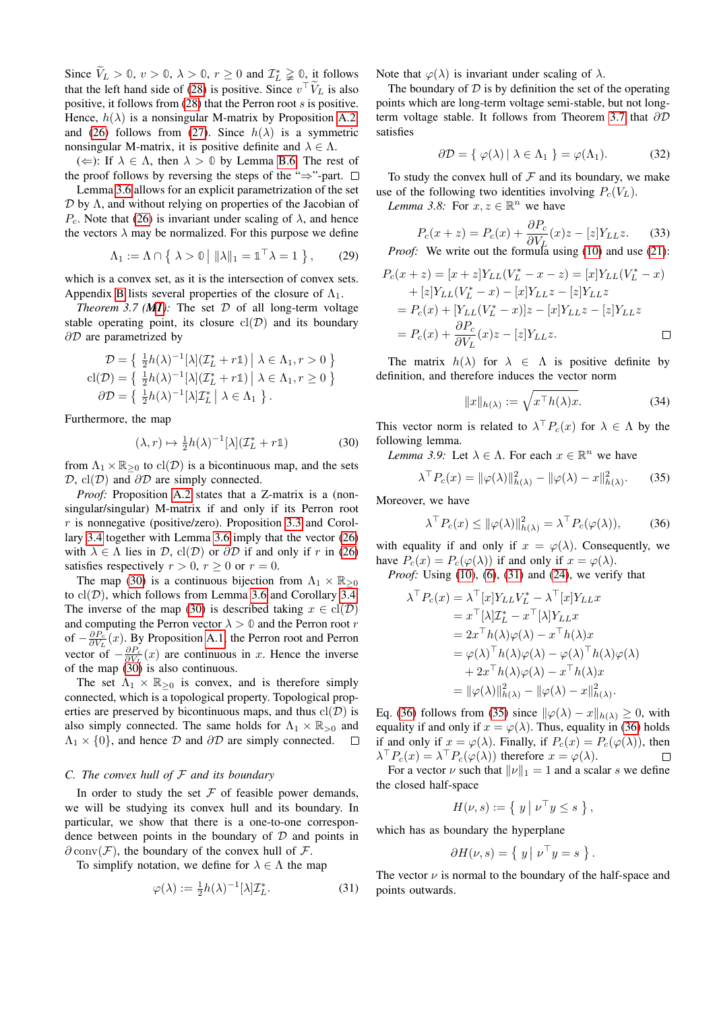Since  $\widetilde{V}_L > 0$ ,  $v > 0$ ,  $\lambda > 0$ ,  $r \ge 0$  and  $\mathcal{I}_L^* \ge 0$ , it follows that the left hand side of [\(28\)](#page-8-7) is positive. Since  $v^{\top}V_L$  is also positive, it follows from [\(28\)](#page-8-7) that the Perron root s is positive. Hence,  $h(\lambda)$  is a nonsingular M-matrix by Proposition [A.2,](#page-12-7) and [\(26\)](#page-8-8) follows from [\(27\)](#page-8-6). Since  $h(\lambda)$  is a symmetric nonsingular M-matrix, it is positive definite and  $\lambda \in \Lambda$ .

 $(\Leftarrow)$ : If  $\lambda \in \Lambda$ , then  $\lambda > 0$  by Lemma [B.6.](#page-12-11) The rest of the proof follows by reversing the steps of the " $\Rightarrow$ "-part.  $\Box$ 

Lemma [3.6](#page-8-9) allows for an explicit parametrization of the set  $D$  by  $\Lambda$ , and without relying on properties of the Jacobian of P<sub>c</sub>. Note that [\(26\)](#page-8-8) is invariant under scaling of  $\lambda$ , and hence the vectors  $\lambda$  may be normalized. For this purpose we define

$$
\Lambda_1 := \Lambda \cap \left\{ \lambda > 0 \mid ||\lambda||_1 = \mathbb{1}^\top \lambda = 1 \right\},\qquad(29)
$$

which is a convex set, as it is the intersection of convex sets. Appendix [B](#page-12-9) lists several properties of the closure of  $\Lambda_1$ .

<span id="page-9-0"></span>*Theorem 3.7 ([M1](#page-1-5)):* The set  $D$  of all long-term voltage stable operating point, its closure  $cl(\mathcal{D})$  and its boundary ∂D are parametrized by

$$
\mathcal{D} = \left\{ \frac{1}{2}h(\lambda)^{-1}[\lambda](\mathcal{I}_L^* + r\mathbb{1}) \middle| \lambda \in \Lambda_1, r > 0 \right\}
$$
  
cl $(\mathcal{D}) = \left\{ \frac{1}{2}h(\lambda)^{-1}[\lambda](\mathcal{I}_L^* + r\mathbb{1}) \middle| \lambda \in \Lambda_1, r \ge 0 \right\}$   
 $\partial \mathcal{D} = \left\{ \frac{1}{2}h(\lambda)^{-1}[\lambda]\mathcal{I}_L^* \middle| \lambda \in \Lambda_1 \right\}.$ 

Furthermore, the map

$$
(\lambda, r) \mapsto \frac{1}{2}h(\lambda)^{-1}[\lambda](\mathcal{I}_L^* + r\mathbb{1})
$$
 (30)

from  $\Lambda_1 \times \mathbb{R}_{\geq 0}$  to  $\text{cl}(\mathcal{D})$  is a bicontinuous map, and the sets  $\mathcal{D}$ , cl( $\mathcal{D}$ ) and  $\partial \mathcal{D}$  are simply connected.

*Proof:* Proposition [A.2](#page-12-7) states that a Z-matrix is a (nonsingular/singular) M-matrix if and only if its Perron root  $r$  is nonnegative (positive/zero). Proposition [3.3](#page-8-3) and Corollary [3.4](#page-8-5) together with Lemma [3.6](#page-8-9) imply that the vector [\(26\)](#page-8-8) with  $\lambda \in \Lambda$  lies in  $\mathcal{D}$ , cl( $\mathcal{D}$ ) or  $\partial \mathcal{D}$  if and only if r in [\(26\)](#page-8-8) satisfies respectively  $r > 0$ ,  $r \ge 0$  or  $r = 0$ .

The map [\(30\)](#page-9-2) is a continuous bijection from  $\Lambda_1 \times \mathbb{R}_{\geq 0}$ to  $\text{cl}(\mathcal{D})$ , which follows from Lemma [3.6](#page-8-9) and Corollary [3.4.](#page-8-5) The inverse of the map [\(30\)](#page-9-2) is described taking  $x \in \text{cl}(\mathcal{D})$ and computing the Perron vector  $\lambda > 0$  and the Perron root r of  $-\frac{\partial P_c}{\partial V_L}(x)$ . By Proposition [A.1,](#page-12-13) the Perron root and Perron vector of  $-\frac{\partial P_c}{\partial V_L}(x)$  are continuous in x. Hence the inverse of the map  $(30)$  is also continuous.

The set  $\Lambda_1 \times \mathbb{R}_{\geq 0}$  is convex, and is therefore simply connected, which is a topological property. Topological properties are preserved by bicontinuous maps, and thus  $\text{cl}(\mathcal{D})$  is also simply connected. The same holds for  $\Lambda_1 \times \mathbb{R}_{>0}$  and  $\Lambda_1 \times \{0\}$ , and hence  $\mathcal D$  and  $\partial \mathcal D$  are simply connected.  $\Lambda_1$  × {0}, and hence  $\mathcal D$  and  $\partial \mathcal D$  are simply connected.

# <span id="page-9-1"></span>*C. The convex hull of* F *and its boundary*

In order to study the set  $F$  of feasible power demands, we will be studying its convex hull and its boundary. In particular, we show that there is a one-to-one correspondence between points in the boundary of  $D$  and points in  $\partial$  conv $(F)$ , the boundary of the convex hull of F.

To simplify notation, we define for  $\lambda \in \Lambda$  the map

$$
\varphi(\lambda) := \frac{1}{2}h(\lambda)^{-1}[\lambda]\mathcal{I}_L^*.
$$
 (31)

Note that  $\varphi(\lambda)$  is invariant under scaling of  $\lambda$ .

The boundary of  $D$  is by definition the set of the operating points which are long-term voltage semi-stable, but not longterm voltage stable. It follows from Theorem [3.7](#page-9-0) that ∂D satisfies

<span id="page-9-9"></span>
$$
\partial \mathcal{D} = \{ \varphi(\lambda) \mid \lambda \in \Lambda_1 \} = \varphi(\Lambda_1). \tag{32}
$$

To study the convex hull of  $F$  and its boundary, we make use of the following two identities involving  $P_c(V_L)$ .

*Lemma 3.8:* For  $x, z \in \mathbb{R}^n$  we have

$$
P_c(x+z) = P_c(x) + \frac{\partial P_c}{\partial V_L}(x)z - [z]Y_{LL}z.
$$
 (33)  
Proof: We write out the formula using (10) and use (21):

<span id="page-9-8"></span>
$$
P_c(x + z) = [x + z]Y_{LL}(V_L^* - x - z) = [x]Y_{LL}(V_L^* - x)
$$
  
+ [z]Y\_{LL}(V\_L^\* - x) - [x]Y\_{LL}z - [z]Y\_{LL}z  
= P\_c(x) + [Y\_{LL}(V\_L^\* - x)]z - [x]Y\_{LL}z - [z]Y\_{LL}z  
= P\_c(x) + \frac{\partial P\_c}{\partial V\_L}(x)z - [z]Y\_{LL}z.

The matrix  $h(\lambda)$  for  $\lambda \in \Lambda$  is positive definite by definition, and therefore induces the vector norm

<span id="page-9-7"></span><span id="page-9-6"></span><span id="page-9-5"></span><span id="page-9-4"></span>
$$
||x||_{h(\lambda)} := \sqrt{x^{\top}h(\lambda)x}.
$$
 (34)

<span id="page-9-2"></span>This vector norm is related to  $\lambda^{\top} P_c(x)$  for  $\lambda \in \Lambda$  by the following lemma.

*Lemma 3.9:* Let  $\lambda \in \Lambda$ . For each  $x \in \mathbb{R}^n$  we have

$$
\lambda^{\top} P_c(x) = \|\varphi(\lambda)\|_{h(\lambda)}^2 - \|\varphi(\lambda) - x\|_{h(\lambda)}^2. \tag{35}
$$

Moreover, we have

$$
\lambda^{\top} P_c(x) \le ||\varphi(\lambda)||^2_{h(\lambda)} = \lambda^{\top} P_c(\varphi(\lambda)), \tag{36}
$$

with equality if and only if  $x = \varphi(\lambda)$ . Consequently, we have  $P_c(x) = P_c(\varphi(\lambda))$  if and only if  $x = \varphi(\lambda)$ .

*Proof:* Using [\(10\)](#page-4-1), [\(6\)](#page-3-1), [\(31\)](#page-9-3) and [\(24\)](#page-8-10), we verify that

$$
\lambda^{\top} P_c(x) = \lambda^{\top} [x] Y_{LL} V_L^* - \lambda^{\top} [x] Y_{LL} x
$$
  
\n
$$
= x^{\top} [\lambda] \mathcal{I}_L^* - x^{\top} [\lambda] Y_{LL} x
$$
  
\n
$$
= 2x^{\top} h(\lambda) \varphi(\lambda) - x^{\top} h(\lambda) x
$$
  
\n
$$
= \varphi(\lambda)^{\top} h(\lambda) \varphi(\lambda) - \varphi(\lambda)^{\top} h(\lambda) \varphi(\lambda)
$$
  
\n
$$
+ 2x^{\top} h(\lambda) \varphi(\lambda) - x^{\top} h(\lambda) x
$$
  
\n
$$
= ||\varphi(\lambda)||^2_{h(\lambda)} - ||\varphi(\lambda) - x||^2_{h(\lambda)}.
$$

Eq. [\(36\)](#page-9-4) follows from [\(35\)](#page-9-5) since  $\|\varphi(\lambda) - x\|_{h(\lambda)} \geq 0$ , with equality if and only if  $x = \varphi(\lambda)$ . Thus, equality in [\(36\)](#page-9-4) holds if and only if  $x = \varphi(\lambda)$ . Finally, if  $P_c(x) = P_c(\varphi(\lambda))$ , then  $\lambda^{\top} P_c(x) = \lambda^{\top} P_c(\varphi(\lambda))$  therefore  $x = \varphi(\lambda)$ .  $\Box$ 

For a vector  $\nu$  such that  $||\nu||_1 = 1$  and a scalar s we define the closed half-space

$$
H(\nu, s) := \{ y \mid \nu^{\top} y \le s \},
$$

which has as boundary the hyperplane

$$
\partial H(\nu, s) = \{ y \mid \nu^{\top} y = s \}.
$$

<span id="page-9-3"></span>The vector  $\nu$  is normal to the boundary of the half-space and points outwards.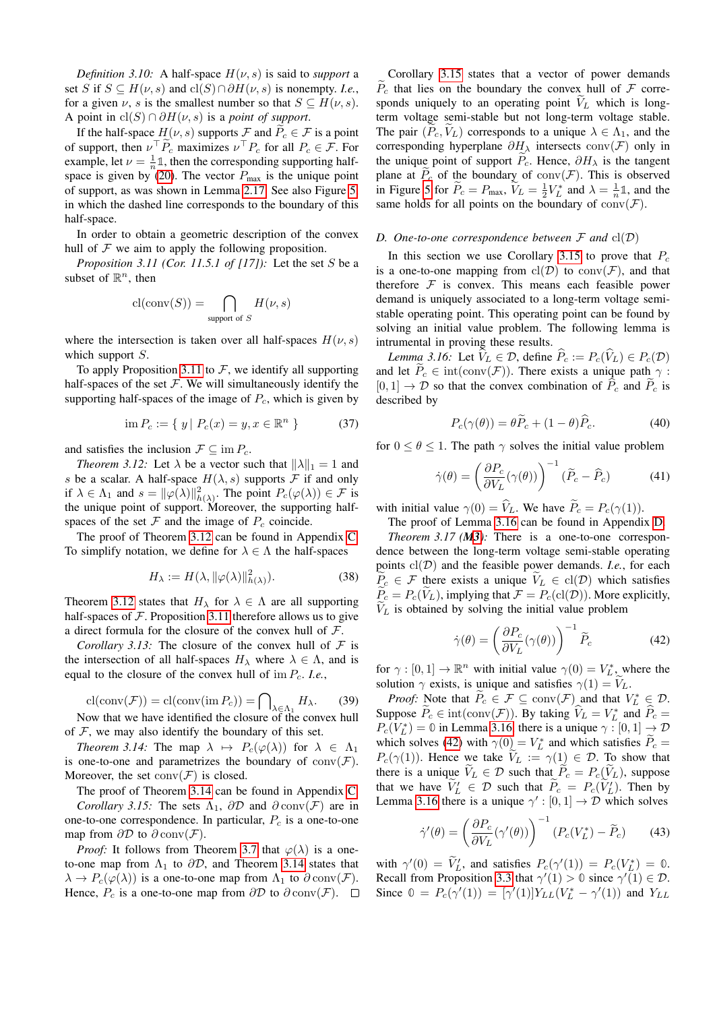*Definition 3.10:* A half-space  $H(\nu, s)$  is said to *support* a set S if  $S \subseteq H(\nu, s)$  and  $cl(S) ∩ ∂H(\nu, s)$  is nonempty. *I.e.*, for a given  $\nu$ , s is the smallest number so that  $S \subseteq H(\nu, s)$ . A point in  $\text{cl}(S) \cap \partial H(\nu, s)$  is a *point of support*.

If the half-space  $H(\nu, s)$  supports F and  $\tilde{P}_c \in \mathcal{F}$  is a point of support, then  $\nu^{\top} \tilde{P}_c$  maximizes  $\nu^{\top} P_c$  for all  $P_c \in \mathcal{F}$ . For example, let  $\nu = \frac{1}{n} \mathbb{1}$ , then the corresponding supporting half-space is given by [\(20\)](#page-6-2). The vector  $P_{\text{max}}$  is the unique point of support, as was shown in Lemma [2.17.](#page-5-8) See also Figure [5,](#page-7-1) in which the dashed line corresponds to the boundary of this half-space.

In order to obtain a geometric description of the convex hull of  $F$  we aim to apply the following proposition.

*Proposition 3.11 (Cor. 11.5.1 of [17]):* Let the set S be a subset of  $\mathbb{R}^n$ , then

$$
\operatorname{cl}(\operatorname{conv}(S)) = \bigcap_{\text{support of } S} H(\nu, s)
$$

where the intersection is taken over all half-spaces  $H(\nu, s)$ which support S.

To apply Proposition [3.11](#page-10-2) to  $F$ , we identify all supporting half-spaces of the set  $F$ . We will simultaneously identify the supporting half-spaces of the image of  $P_c$ , which is given by

$$
\lim P_c := \{ y \mid P_c(x) = y, x \in \mathbb{R}^n \}
$$
 (37)

and satisfies the inclusion  $\mathcal{F} \subseteq \text{im } P_c$ .

<span id="page-10-3"></span>*Theorem 3.12:* Let  $\lambda$  be a vector such that  $\|\lambda\|_1 = 1$  and s be a scalar. A half-space  $H(\lambda, s)$  supports F if and only if  $\lambda \in \Lambda_1$  and  $s = ||\varphi(\lambda)||^2_{h(\lambda)}$ . The point  $P_c(\varphi(\lambda)) \in \mathcal{F}$  is the unique point of support. Moreover, the supporting halfspaces of the set  $\mathcal F$  and the image of  $P_c$  coincide.

The proof of Theorem [3.12](#page-10-3) can be found in Appendix [C.](#page-13-0) To simplify notation, we define for  $\lambda \in \Lambda$  the half-spaces

$$
H_{\lambda} := H(\lambda, \|\varphi(\lambda)\|_{h(\lambda)}^2). \tag{38}
$$

Theorem [3.12](#page-10-3) states that  $H_{\lambda}$  for  $\lambda \in \Lambda$  are all supporting half-spaces of  $\mathcal F$ . Proposition [3.11](#page-10-2) therefore allows us to give a direct formula for the closure of the convex hull of F.

<span id="page-10-11"></span>*Corollary 3.13:* The closure of the convex hull of  $F$  is the intersection of all half-spaces  $H_{\lambda}$  where  $\lambda \in \Lambda$ , and is equal to the closure of the convex hull of im  $P_c$ . *I.e.*,

$$
cl(\text{conv}(\mathcal{F})) = cl(\text{conv}(\text{im } P_c)) = \bigcap_{\lambda \in \Lambda_1} H_{\lambda}.
$$
 (39)  
Now that we have identified the closure of the convex hull

of  $F$ , we may also identify the boundary of this set.

*Theorem 3.14:* The map  $\lambda \mapsto P_c(\varphi(\lambda))$  for  $\lambda \in \Lambda_1$ is one-to-one and parametrizes the boundary of  $conv(\mathcal{F})$ . Moreover, the set  $conv(F)$  is closed.

<span id="page-10-5"></span>The proof of Theorem [3.14](#page-10-4) can be found in Appendix [C.](#page-13-0) *Corollary 3.15:* The sets  $\Lambda_1$ ,  $\partial \mathcal{D}$  and  $\partial \text{conv}(\mathcal{F})$  are in one-to-one correspondence. In particular,  $P_c$  is a one-to-one map from  $\partial \mathcal{D}$  to  $\partial$  conv $(\mathcal{F})$ .

*Proof:* It follows from Theorem [3.7](#page-9-0) that  $\varphi(\lambda)$  is a oneto-one map from  $\Lambda_1$  to  $\partial \mathcal{D}$ , and Theorem [3.14](#page-10-4) states that  $\lambda \to P_c(\varphi(\lambda))$  is a one-to-one map from  $\Lambda_1$  to  $\partial$  conv $(\mathcal{F})$ . Hence,  $P_c$  is a one-to-one map from  $\partial \mathcal{D}$  to  $\partial \text{conv}(\mathcal{F})$ .  $\Box$ 

Corollary [3.15](#page-10-5) states that a vector of power demands  $\tilde{P}_c$  that lies on the boundary the convex hull of  $\cal F$  corresponds uniquely to an operating point  $V<sub>L</sub>$  which is longterm voltage semi-stable but not long-term voltage stable. The pair  $(P_c, V_L)$  corresponds to a unique  $\lambda \in \Lambda_1$ , and the corresponding hyperplane  $\partial H_\lambda$  intersects conv(F) only in the unique point of support  $P_c$ . Hence,  $\partial H_{\lambda}$  is the tangent plane at  $P_c$  of the boundary of conv $(\mathcal{F})$ . This is observed in Figure [5](#page-7-1) for  $\tilde{P}_c = P_{\text{max}}$ ,  $\tilde{V}_L = \frac{1}{2} V_L^*$  and  $\lambda = \frac{1}{n} \mathbb{1}$ , and the same holds for all points on the boundary of  $conv(\mathcal{F})$ .

#### <span id="page-10-2"></span><span id="page-10-1"></span>*D.* One-to-one correspondence between  $F$  and  $cl(D)$

In this section we use Corollary [3.15](#page-10-5) to prove that  $P_c$ is a one-to-one mapping from  $cl(\mathcal{D})$  to  $conv(\mathcal{F})$ , and that therefore  $F$  is convex. This means each feasible power demand is uniquely associated to a long-term voltage semistable operating point. This operating point can be found by solving an initial value problem. The following lemma is intrumental in proving these results.

<span id="page-10-6"></span>*Lemma 3.16:* Let  $\widetilde{V}_L \in \mathcal{D}$ , define  $\widehat{P}_c := P_c(\widehat{V}_L) \in P_c(\mathcal{D})$ and let  $P_c \in \text{int}(\text{conv}(\mathcal{F}))$ . There exists a unique path  $\gamma$ :  $[0, 1] \rightarrow \mathcal{D}$  so that the convex combination of  $\hat{P}_c$  and  $\hat{P}_c$  is described by

<span id="page-10-13"></span><span id="page-10-10"></span>
$$
P_c(\gamma(\theta)) = \theta \widetilde{P}_c + (1 - \theta) \widehat{P}_c.
$$
 (40)

for  $0 \le \theta \le 1$ . The path  $\gamma$  solves the initial value problem

$$
\dot{\gamma}(\theta) = \left(\frac{\partial P_c}{\partial V_L}(\gamma(\theta))\right)^{-1} (\tilde{P}_c - \hat{P}_c)
$$
(41)

with initial value  $\gamma(0) = \hat{V}_L$ . We have  $\tilde{P}_c = P_c(\gamma(1)).$ 

<span id="page-10-9"></span><span id="page-10-0"></span>The proof of Lemma [3.16](#page-10-6) can be found in Appendix [D.](#page-14-0) *Theorem 3.17 ([M3](#page-1-2)):* There is a one-to-one correspondence between the long-term voltage semi-stable operating points  $cl(\mathcal{D})$  and the feasible power demands. *I.e.*, for each  $\widetilde{P}_c \in \mathcal{F}$  there exists a unique  $\widetilde{V}_L \in \text{cl}(\mathcal{D})$  which satisfies  $P_c = P_c(V_L)$ , implying that  $\mathcal{F} = P_c(\text{cl}(\mathcal{D}))$ . More explicitly,  $\widetilde{V}_L$  is obtained by solving the initial value problem

<span id="page-10-7"></span>
$$
\dot{\gamma}(\theta) = \left(\frac{\partial P_c}{\partial V_L}(\gamma(\theta))\right)^{-1} \tilde{P}_c \tag{42}
$$

for  $\gamma : [0, 1] \to \mathbb{R}^n$  with initial value  $\gamma(0) = V_L^*$ , where the solution  $\gamma$  exists, is unique and satisfies  $\gamma(1) = V_L$ .

<span id="page-10-12"></span><span id="page-10-4"></span>*Proof:* Note that  $\tilde{P}_c \in \mathcal{F} \subseteq \text{conv}(\mathcal{F})$  and that  $V_L^* \in \mathcal{D}$ . Suppose  $\widetilde{P}_c \in \text{int}(\text{conv}(\mathcal{F}))$ . By taking  $\widehat{V}_L = V_L^*$  and  $\widehat{P}_c = \widetilde{P}_L(\mathcal{F}_L)$  $P_c(V_L^*) = \emptyset$  in Lemma [3.16,](#page-10-6) there is a unique  $\gamma : [0, 1] \rightarrow \mathcal{D}$ which solves [\(42\)](#page-10-7) with  $\gamma(0) = V_L^*$  and which satisfies  $\tilde{P}_c =$  $P_c(\gamma(1))$ . Hence we take  $V_L := \gamma(1) \in \mathcal{D}$ . To show that there is a unique  $\widetilde{V}_L \in \mathcal{D}$  such that  $\widetilde{P}_c = P_c(\widetilde{V}_L)$ , suppose that we have  $V_L' \in \mathcal{D}$  such that  $\tilde{P}_c = P_c(\tilde{V}_L')$ . Then by Lemma [3.16](#page-10-6) there is a unique  $\gamma' : [0, 1] \to \mathcal{D}$  which solves

<span id="page-10-8"></span>
$$
\dot{\gamma}'(\theta) = \left(\frac{\partial P_c}{\partial V_L}(\gamma'(\theta))\right)^{-1} \left(P_c(V_L^*) - \widetilde{P}_c\right) \tag{43}
$$

with  $\gamma'(0) = V_L'$ , and satisfies  $P_c(\gamma'(1)) = P_c(V_L^*) = 0$ . Recall from Proposition [3.3](#page-8-3) that  $\gamma'(1) > 0$  since  $\gamma'(1) \in \mathcal{D}$ . Since  $0 = P_c(\gamma'(1)) = [\gamma'(1)]Y_{LL}(V_L^* - \gamma'(1))$  and  $Y_{LL}$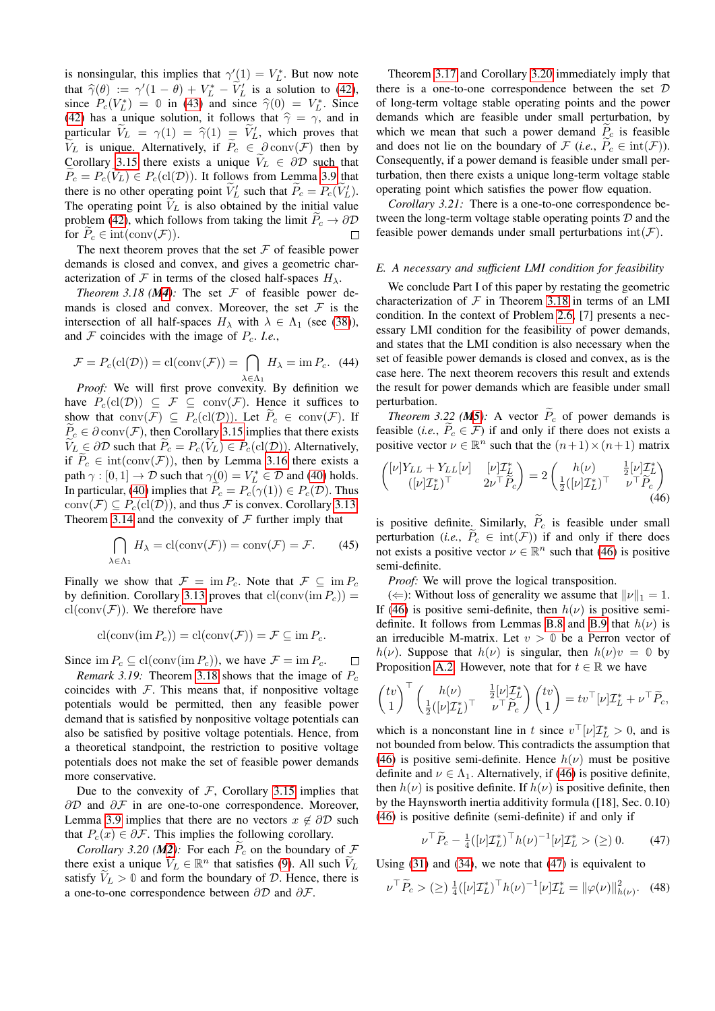is nonsingular, this implies that  $\gamma'_{\langle 1 \rangle} = V_L^*$ . But now note that  $\hat{\gamma}(\theta) := \gamma'(1 - \theta) + V_L^* - \tilde{V}_L'$  is a solution to [\(42\)](#page-10-7),<br>since  $P(V^*) = \emptyset$  in (43) and since  $\hat{\gamma}(0) = V^*$ . Since since  $P_c(V_L^*) = \emptyset$  in [\(43\)](#page-10-8) and since  $\hat{\gamma}(0) = V_L^*$ . Since (42) has a unique solution it follows that  $\hat{\gamma} = \gamma_c$  and in [\(42\)](#page-10-7) has a unique solution, it follows that  $\hat{\gamma} = \gamma$ , and in particular  $\widetilde{V}_L = \gamma(1) = \widehat{\gamma}(1) = \widetilde{V}'_L$ , which proves that  $\widetilde{V}_L$  is unique Alternativaly if  $\widetilde{P} \subset \mathcal{R}$  sorv $(F)$  than by particular  $V_L = V(T)$ <br>  $\widetilde{V}_L$  is unique. Alternatively, if  $\widetilde{P}_c \in \partial^2 \text{conv}(\mathcal{F})$  then by Corollary [3.15](#page-10-5) there exists a unique  $V_L \in \partial \mathcal{D}$  such that  $\widetilde{P}_c = P_c(\widetilde{V}_L) \in P_c(\mathrm{cl}(\mathcal{D}))$ . It follows from Lemma [3.9](#page-9-6) that there is no other operating point  $\tilde{V}_L'$  such that  $\tilde{P}_c = P_c(\tilde{V}_L')$ . The operating point  $V_L$  is also obtained by the initial value problem [\(42\)](#page-10-7), which follows from taking the limit  $\tilde{P}_c \to \partial \mathcal{D}$ <br>for  $\tilde{P}_c \in \text{int}(\text{conv}(\mathcal{F}))$ . for  $\widetilde{P}_c \in \text{int}(\text{conv}(\mathcal{F}))$ .

The next theorem proves that the set  $\mathcal F$  of feasible power demands is closed and convex, and gives a geometric characterization of F in terms of the closed half-spaces  $H_{\lambda}$ .

*Theorem 3.18 ([M4](#page-1-3)):* The set  $F$  of feasible power demands is closed and convex. Moreover, the set  $\mathcal F$  is the intersection of all half-spaces  $H_{\lambda}$  with  $\lambda \in \Lambda_1$  (see [\(38\)](#page-10-9)), and  $\mathcal F$  coincides with the image of  $P_c$ . *I.e.*,

$$
\mathcal{F} = P_c(\text{cl}(\mathcal{D})) = \text{cl}(\text{conv}(\mathcal{F})) = \bigcap_{\lambda \in \Lambda_1} H_{\lambda} = \text{im } P_c. \tag{44}
$$

*Proof:* We will first prove convexity. By definition we have  $P_c(cl(\mathcal{D})) \subseteq \mathcal{F} \subseteq conv(\mathcal{F})$ . Hence it suffices to show that conv $(\overline{\mathcal{F}}) \subseteq \overline{P}_c(\text{cl}(\mathcal{D}))$ . Let  $\widetilde{P}_c \in \text{conv}(\mathcal{F})$ . If  $\widetilde{P}_c \in \partial \text{ conv}(\mathcal{F})$ , then Corollary [3.15](#page-10-5) implies that there exists  $\widetilde{V}_L \in \partial \mathcal{D}$  such that  $\widetilde{P}_c = P_c(\widetilde{V}_L) \in P_c(\mathrm{cl}(\mathcal{D}))$ . Alternatively, if  $P_c \in \text{int}(\text{conv}(\mathcal{F}))$ , then by Lemma [3.16](#page-10-6) there exists a path  $\gamma : [0, 1] \to \mathcal{D}$  such that  $\gamma(\mathbf{0}) = V_L^* \in \mathcal{D}$  and [\(40\)](#page-10-10) holds. In particular, [\(40\)](#page-10-10) implies that  $\widetilde{P}_c = P_c(\gamma(1)) \in P_c(\mathcal{D})$ . Thus conv $(\mathcal{F}) \subseteq P_c(cl(\mathcal{D}))$ , and thus  $\mathcal F$  is convex. Corollary [3.13,](#page-10-11) Theorem [3.14](#page-10-4) and the convexity of  $F$  further imply that

$$
\bigcap_{\lambda \in \Lambda_1} H_{\lambda} = \text{cl}(\text{conv}(\mathcal{F})) = \text{conv}(\mathcal{F}) = \mathcal{F}.
$$
 (45)

Finally we show that  $\mathcal{F} = \text{im } P_c$ . Note that  $\mathcal{F} \subseteq \text{im } P_c$ by definition. Corollary [3.13](#page-10-11) proves that  $cl(\text{conv}(im P_c)) =$  $cl(\text{conv}(\mathcal{F}))$ . We therefore have

$$
\mathrm{cl}(\mathrm{conv}(\mathrm{im}\,P_c)) = \mathrm{cl}(\mathrm{conv}(\mathcal{F})) = \mathcal{F} \subseteq \mathrm{im}\,P_c.
$$

Since im  $P_c \subseteq$  cl(conv(im  $P_c$ )), we have  $\mathcal{F} = \text{im } P_c$ .  $\Box$ 

*Remark 3.19:* Theorem [3.18](#page-11-1) shows that the image of  $P_c$ coincides with  $F$ . This means that, if nonpositive voltage potentials would be permitted, then any feasible power demand that is satisfied by nonpositive voltage potentials can also be satisfied by positive voltage potentials. Hence, from a theoretical standpoint, the restriction to positive voltage potentials does not make the set of feasible power demands more conservative.

Due to the convexity of  $F$ , Corollary [3.15](#page-10-5) implies that  $\partial \mathcal{D}$  and  $\partial \mathcal{F}$  in are one-to-one correspondence. Moreover, Lemma [3.9](#page-9-6) implies that there are no vectors  $x \notin \partial \mathcal{D}$  such that  $P_c(x) \in \partial \mathcal{F}$ . This implies the following corollary.

<span id="page-11-0"></span>*Corollary 3.20 ([M2](#page-1-6)):* For each  $\tilde{P}_c$  on the boundary of  $\tilde{F}$ there exist a unique  $\widetilde{V}_L \in \mathbb{R}^n$  that satisfies [\(9\)](#page-3-5). All such  $\widetilde{V}_L$ satisfy  $V_L > 0$  and form the boundary of D. Hence, there is a one-to-one correspondence between ∂D and ∂F.

Theorem [3.17](#page-10-0) and Corollary [3.20](#page-11-0) immediately imply that there is a one-to-one correspondence between the set  $D$ of long-term voltage stable operating points and the power demands which are feasible under small perturbation, by which we mean that such a power demand  $P_c$  is feasible and does not lie on the boundary of  $\mathcal F$  (*i.e.*,  $P_c \in \text{int}(\mathcal F)$ ). Consequently, if a power demand is feasible under small perturbation, then there exists a unique long-term voltage stable operating point which satisfies the power flow equation.

*Corollary 3.21:* There is a one-to-one correspondence between the long-term voltage stable operating points  $D$  and the feasible power demands under small perturbations  $\text{int}(\mathcal{F})$ .

#### <span id="page-11-3"></span><span id="page-11-1"></span>*E. A necessary and sufficient LMI condition for feasibility*

We conclude Part I of this paper by restating the geometric characterization of  $F$  in Theorem [3.18](#page-11-1) in terms of an LMI condition. In the context of Problem [2.6,](#page-4-0) [7] presents a necessary LMI condition for the feasibility of power demands, and states that the LMI condition is also necessary when the set of feasible power demands is closed and convex, as is the case here. The next theorem recovers this result and extends the result for power demands which are feasible under small perturbation.

<span id="page-11-2"></span>*Theorem 3.22 ([M5](#page-1-1)):* A vector  $\widetilde{P}_c$  of power demands is feasible (*i.e.*,  $P_c \in \mathcal{F}$ ) if and only if there does not exists a positive vector  $\nu \in \mathbb{R}^n$  such that the  $(n+1) \times (n+1)$  matrix

<span id="page-11-4"></span>
$$
\begin{pmatrix}\n[\nu]Y_{LL} + Y_{LL}[\nu] & [\nu]T_{\underline{\ell}}^* \\
([\nu]T_L^*)^\top & 2\nu^\top \tilde{P}_c\n\end{pmatrix} = 2 \begin{pmatrix}\nh(\nu) & \frac{1}{2} [\nu]T_L^* \\
\frac{1}{2} ([\nu]T_L^*)^\top & \nu^\top \tilde{P}_c\n\end{pmatrix}
$$
\n(46)

is positive definite. Similarly,  $\widetilde{P}_c$  is feasible under small perturbation (*i.e.*,  $\widetilde{P}_c \in \text{int}(\mathcal{F})$ ) if and only if there does not exists a positive vector  $\nu \in \mathbb{R}^n$  such that [\(46\)](#page-11-4) is positive semi-definite.

*Proof:* We will prove the logical transposition.

( $\Leftarrow$ ): Without loss of generality we assume that  $||\nu||_1 = 1$ . If [\(46\)](#page-11-4) is positive semi-definite, then  $h(\nu)$  is positive semi-definite. It follows from Lemmas [B.8](#page-12-14) and [B.9](#page-12-15) that  $h(\nu)$  is an irreducible M-matrix. Let  $v > 0$  be a Perron vector of h(v). Suppose that  $h(\nu)$  is singular, then  $h(\nu)v = 0$  by Proposition [A.2.](#page-12-7) However, note that for  $t \in \mathbb{R}$  we have

$$
\begin{pmatrix} tv \\ 1 \end{pmatrix}^\top \begin{pmatrix} h(\nu) & \frac{1}{2} [\nu] \mathcal{I}_L^* \\ \frac{1}{2} ([\nu] \mathcal{I}_L^*)^\top & \nu^\top \widetilde{P}_c \end{pmatrix} \begin{pmatrix} tv \\ 1 \end{pmatrix} = tv^\top [\nu] \mathcal{I}_L^* + \nu^\top \widetilde{P}_c,
$$

which is a nonconstant line in t since  $v^{\top}[\nu]\mathcal{I}_L^* > 0$ , and is not bounded from below. This contradicts the assumption that [\(46\)](#page-11-4) is positive semi-definite. Hence  $h(\nu)$  must be positive definite and  $\nu \in \Lambda_1$ . Alternatively, if [\(46\)](#page-11-4) is positive definite, then  $h(\nu)$  is positive definite. If  $h(\nu)$  is positive definite, then by the Haynsworth inertia additivity formula ([18], Sec. 0.10) [\(46\)](#page-11-4) is positive definite (semi-definite) if and only if

<span id="page-11-6"></span><span id="page-11-5"></span>
$$
\nu^{\top} \widetilde{P}_c - \frac{1}{4} ([\nu] \mathcal{I}_L^*)^{\top} h(\nu)^{-1} [\nu] \mathcal{I}_L^* > (\geq) 0. \tag{47}
$$

Using [\(31\)](#page-9-3) and [\(34\)](#page-9-7), we note that [\(47\)](#page-11-5) is equivalent to

$$
\nu^{\top} \widetilde{P}_c > (\geq) \frac{1}{4} ([\nu] \mathcal{I}_L^*)^{\top} h(\nu)^{-1} [\nu] \mathcal{I}_L^* = ||\varphi(\nu)||_{h(\nu)}^2. \tag{48}
$$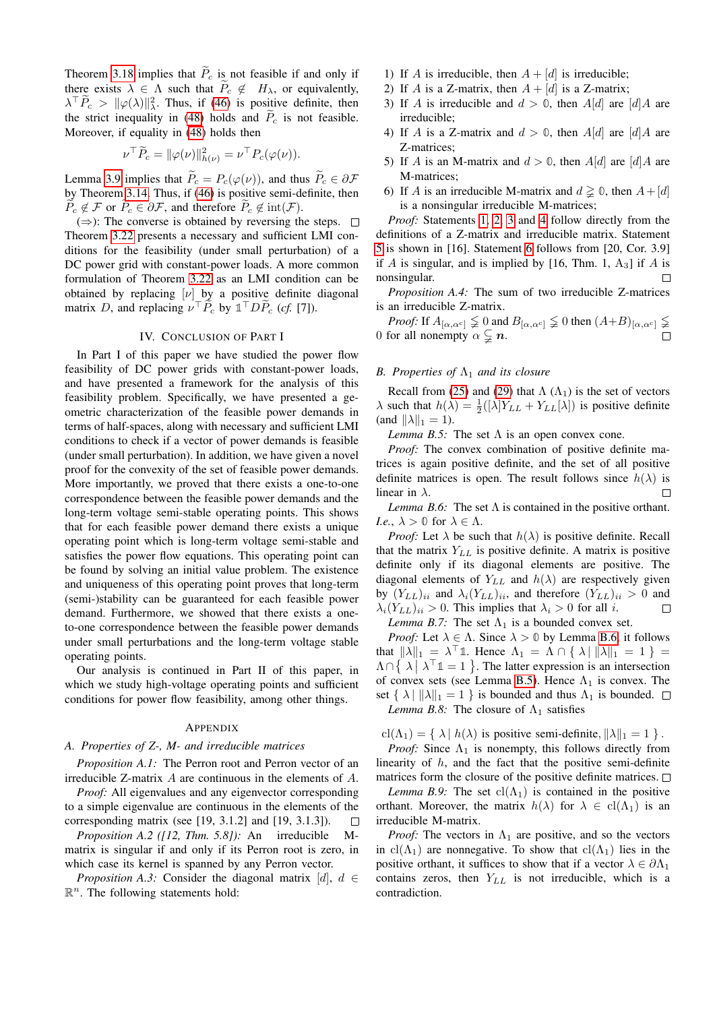Theorem [3.18](#page-11-1) implies that  $\widetilde{P}_c$  is not feasible if and only if there exists  $\lambda \in \Lambda$  such that  $\widetilde{P}_c \notin H_\lambda$ , or equivalently,  $\lambda^{\top} \tilde{P}_c > ||\varphi(\lambda)||_{\lambda}^2$ . Thus, if [\(46\)](#page-11-4) is positive definite, then the strict inequality in [\(48\)](#page-11-6) holds and  $\overline{P}_c$  is not feasible. Moreover, if equality in [\(48\)](#page-11-6) holds then

$$
\nu^{\top} \widetilde{P}_c = \|\varphi(\nu)\|_{h(\nu)}^2 = \nu^{\top} P_c(\varphi(\nu)).
$$

Lemma [3.9](#page-9-6) implies that  $\widetilde{P}_c = P_c(\varphi(\nu))$ , and thus  $\widetilde{P}_c \in \partial \mathcal{F}$ by Theorem [3.14.](#page-10-4) Thus, if [\(46\)](#page-11-4) is positive semi-definite, then  $\widetilde{P}_c \notin \mathcal{F}$  or  $\widetilde{P}_c \in \partial \mathcal{F}$ , and therefore  $\widetilde{P}_c \notin \text{int}(\mathcal{F})$ .

 $(\Rightarrow)$ : The converse is obtained by reversing the steps.  $\Box$ Theorem [3.22](#page-11-2) presents a necessary and sufficient LMI conditions for the feasibility (under small perturbation) of a DC power grid with constant-power loads. A more common formulation of Theorem [3.22](#page-11-2) as an LMI condition can be obtained by replacing  $[\nu]$  by a positive definite diagonal matrix D, and replacing  $\nu^{\top} \tilde{P}_c$  by  $\mathbb{1}^{\top} D \tilde{P}_c$  (*cf.* [7]).

## IV. CONCLUSION OF PART I

<span id="page-12-0"></span>In Part I of this paper we have studied the power flow feasibility of DC power grids with constant-power loads, and have presented a framework for the analysis of this feasibility problem. Specifically, we have presented a geometric characterization of the feasible power demands in terms of half-spaces, along with necessary and sufficient LMI conditions to check if a vector of power demands is feasible (under small perturbation). In addition, we have given a novel proof for the convexity of the set of feasible power demands. More importantly, we proved that there exists a one-to-one correspondence between the feasible power demands and the long-term voltage semi-stable operating points. This shows that for each feasible power demand there exists a unique operating point which is long-term voltage semi-stable and satisfies the power flow equations. This operating point can be found by solving an initial value problem. The existence and uniqueness of this operating point proves that long-term (semi-)stability can be guaranteed for each feasible power demand. Furthermore, we showed that there exists a oneto-one correspondence between the feasible power demands under small perturbations and the long-term voltage stable operating points.

Our analysis is continued in Part II of this paper, in which we study high-voltage operating points and sufficient conditions for power flow feasibility, among other things.

# **APPENDIX**

## <span id="page-12-1"></span>*A. Properties of Z-, M- and irreducible matrices*

<span id="page-12-13"></span>*Proposition A.1:* The Perron root and Perron vector of an irreducible Z-matrix A are continuous in the elements of A.

*Proof:* All eigenvalues and any eigenvector corresponding to a simple eigenvalue are continuous in the elements of the corresponding matrix (see [19, 3.1.2] and [19, 3.1.3]).  $\Box$ 

<span id="page-12-7"></span>*Proposition A.2 ([12, Thm. 5.8]):* An irreducible matrix is singular if and only if its Perron root is zero, in which case its kernel is spanned by any Perron vector.

<span id="page-12-4"></span>*Proposition A.3:* Consider the diagonal matrix [d],  $d \in$  $\mathbb{R}^n$ . The following statements hold:

- <span id="page-12-5"></span>1) If A is irreducible, then  $A + [d]$  is irreducible;
- <span id="page-12-6"></span>2) If A is a Z-matrix, then  $A + [d]$  is a Z-matrix;
- <span id="page-12-2"></span>3) If A is irreducible and  $d > 0$ , then A[d] are [d]A are irreducible;
- <span id="page-12-3"></span>4) If A is a Z-matrix and  $d > 0$ , then A[d] are [d]A are Z-matrices;
- <span id="page-12-8"></span>5) If A is an M-matrix and  $d > 0$ , then A[d] are [d]A are M-matrices;
- <span id="page-12-16"></span>6) If A is an irreducible M-matrix and  $d \ge 0$ , then  $A + [d]$ is a nonsingular irreducible M-matrices;

*Proof:* Statements [1,](#page-12-5) [2,](#page-12-6) [3](#page-12-2) and [4](#page-12-3) follow directly from the definitions of a Z-matrix and irreducible matrix. Statement [5](#page-12-8) is shown in [16]. Statement [6](#page-12-16) follows from [20, Cor. 3.9] if A is singular, and is implied by [16, Thm. 1,  $A_3$ ] if A is nonsingular. П

<span id="page-12-12"></span>*Proposition A.4:* The sum of two irreducible Z-matrices is an irreducible Z-matrix.

*Proof:* If  $A_{[\alpha,\alpha^c]} \nleq 0$  and  $B_{[\alpha,\alpha^c]} \nleq 0$  then  $(A+B)_{[\alpha,\alpha^c]} \nleq$ 0 for all nonempty  $\alpha \subsetneq n$ .

# <span id="page-12-9"></span>*B. Properties of*  $Λ$ <sub>1</sub> *and its closure*

Recall from [\(25\)](#page-8-11) and [\(29\)](#page-9-8) that  $\Lambda(\Lambda_1)$  is the set of vectors  $\lambda$  such that  $h(\lambda) = \frac{1}{2}([\lambda]Y_{LL} + Y_{LL}[\lambda])$  is positive definite (and  $\|\lambda\|_1 = 1$ ).

<span id="page-12-10"></span>*Lemma B.5:* The set  $\Lambda$  is an open convex cone.

*Proof:* The convex combination of positive definite matrices is again positive definite, and the set of all positive definite matrices is open. The result follows since  $h(\lambda)$  is linear in  $\lambda$ .  $\Box$ 

<span id="page-12-11"></span>*Lemma B.6:* The set  $\Lambda$  is contained in the positive orthant. *I.e.*,  $\lambda > 0$  for  $\lambda \in \Lambda$ .

*Proof:* Let  $\lambda$  be such that  $h(\lambda)$  is positive definite. Recall that the matrix  $Y_{LL}$  is positive definite. A matrix is positive definite only if its diagonal elements are positive. The diagonal elements of  $Y_{LL}$  and  $h(\lambda)$  are respectively given by  $(Y_{LL})_{ii}$  and  $\lambda_i(Y_{LL})_{ii}$ , and therefore  $(Y_{LL})_{ii} > 0$  and  $\lambda_i(Y_{LL})_{ii} > 0$ . This implies that  $\lambda_i > 0$  for all *i*.  $\Box$ *Lemma B.7:* The set  $\Lambda_1$  is a bounded convex set.

*Proof:* Let  $\lambda \in \Lambda$ . Since  $\lambda > 0$  by Lemma [B.6,](#page-12-11) it follows that  $\|\lambda\|_1 = \lambda^\top \mathbb{1}$ . Hence  $\Lambda_1 = \Lambda \cap {\lambda} \|\lambda\|_1 = 1$  } =  $\Lambda \cap \{ \lambda \mid \lambda^\top \mathbb{1} = 1 \}$ . The latter expression is an intersection of convex sets (see Lemma [B.5\)](#page-12-10). Hence  $\Lambda_1$  is convex. The set  $\{\lambda \mid ||\lambda||_1 = 1\}$  is bounded and thus  $\Lambda_1$  is bounded.  $\Box$ *Lemma B.8:* The closure of  $\Lambda_1$  satisfies

<span id="page-12-14"></span> $cl(\Lambda_1) = \{ \lambda \mid h(\lambda) \text{ is positive semi-definite}, ||\lambda||_1 = 1 \}.$ 

*Proof:* Since  $\Lambda_1$  is nonempty, this follows directly from linearity of  $h$ , and the fact that the positive semi-definite matrices form the closure of the positive definite matrices.  $\Box$ 

<span id="page-12-15"></span>*Lemma B.9:* The set  $cl(\Lambda_1)$  is contained in the positive orthant. Moreover, the matrix  $h(\lambda)$  for  $\lambda \in \text{cl}(\Lambda_1)$  is an irreducible M-matrix.

*Proof:* The vectors in  $\Lambda_1$  are positive, and so the vectors in cl( $\Lambda_1$ ) are nonnegative. To show that cl( $\Lambda_1$ ) lies in the positive orthant, it suffices to show that if a vector  $\lambda \in \partial \Lambda_1$ contains zeros, then  $Y_{LL}$  is not irreducible, which is a contradiction.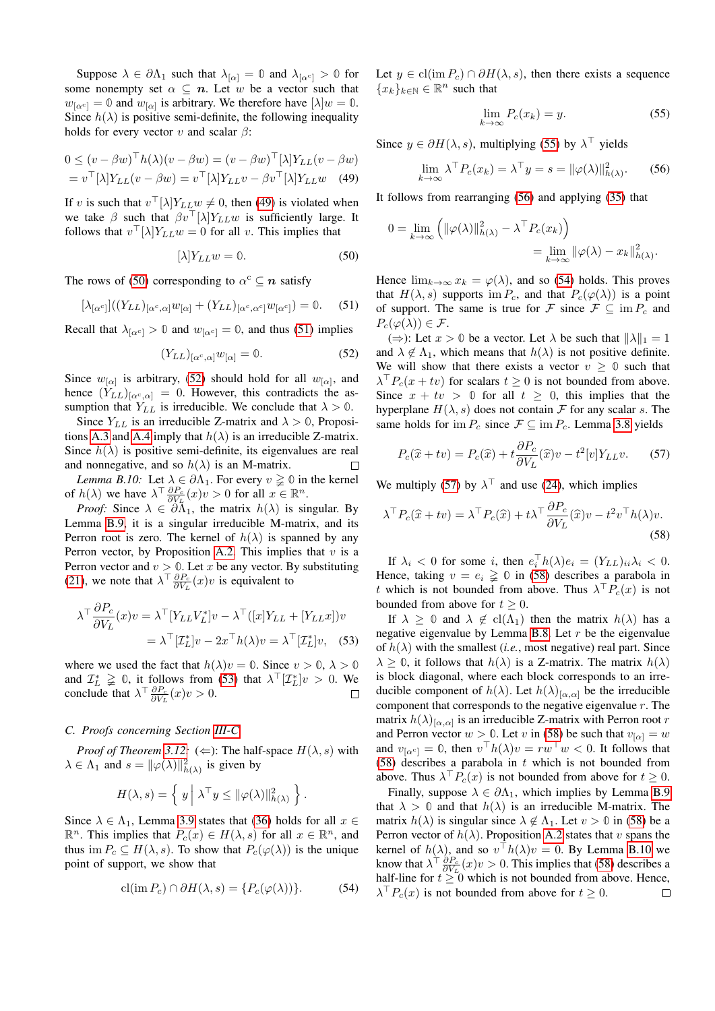Suppose  $\lambda \in \partial \Lambda_1$  such that  $\lambda_{\alpha} = 0$  and  $\lambda_{\alpha} = 0$  for some nonempty set  $\alpha \subseteq n$ . Let w be a vector such that  $w_{[\alpha^c]} = \mathbf{0}$  and  $w_{[\alpha]}$  is arbitrary. We therefore have  $[\lambda]w = \mathbf{0}$ . Since  $h(\lambda)$  is positive semi-definite, the following inequality holds for every vector  $v$  and scalar  $\beta$ :

$$
0 \le (v - \beta w)^{\top} h(\lambda)(v - \beta w) = (v - \beta w)^{\top} [\lambda] Y_{LL}(v - \beta w)
$$
  
=  $v^{\top} [\lambda] Y_{LL}(v - \beta w) = v^{\top} [\lambda] Y_{LL}v - \beta v^{\top} [\lambda] Y_{LL}w$  (49)

If v is such that  $v^{\top}[\lambda]Y_{LL}w \neq 0$ , then [\(49\)](#page-13-1) is violated when we take  $\beta$  such that  $\beta v$ <sup>T</sup>[ $\lambda$ ] $Y_{LL}w$  is sufficiently large. It follows that  $v^{\top}[\lambda]Y_{LL}w = 0$  for all v. This implies that

$$
[\lambda]Y_{LL}w = 0. \t\t(50)
$$

The rows of [\(50\)](#page-13-2) corresponding to  $\alpha^c \subseteq n$  satisfy

$$
[\lambda_{[\alpha^c]}]((Y_{LL})_{[\alpha^c,\alpha]}w_{[\alpha]} + (Y_{LL})_{[\alpha^c,\alpha^c]}w_{[\alpha^c]}) = 0. \quad (51)
$$

Recall that  $\lambda_{\alpha^{c}} > 0$  and  $w_{\alpha^{c}} = 0$ , and thus [\(51\)](#page-13-3) implies

$$
(Y_{LL})_{[\alpha^c,\alpha]}w_{[\alpha]} = 0. \t\t(52)
$$

Since  $w_{[\alpha]}$  is arbitrary, [\(52\)](#page-13-4) should hold for all  $w_{[\alpha]}$ , and hence  $(Y_{LL})_{[\alpha^c,\alpha]} = 0$ . However, this contradicts the assumption that  $Y_{LL}$  is irreducible. We conclude that  $\lambda > 0$ .

Since  $Y_{LL}$  is an irreducible Z-matrix and  $\lambda > 0$ , Proposi-tions [A.3](#page-12-4) and [A.4](#page-12-12) imply that  $h(\lambda)$  is an irreducible Z-matrix. Since  $h(\lambda)$  is positive semi-definite, its eigenvalues are real and nonnegative, and so  $h(\lambda)$  is an M-matrix.  $\Box$ 

<span id="page-13-11"></span>*Lemma B.10:* Let  $\lambda \in \partial \Lambda_1$ . For every  $v \geq 0$  in the kernel of  $h(\lambda)$  we have  $\lambda^{\top} \frac{\partial P_c}{\partial V_L}(x)v > 0$  for all  $x \in \mathbb{R}^n$ .

*Proof:* Since  $\lambda \in \partial \tilde{\Lambda}_1$ , the matrix  $h(\lambda)$  is singular. By Lemma [B.9,](#page-12-15) it is a singular irreducible M-matrix, and its Perron root is zero. The kernel of  $h(\lambda)$  is spanned by any Perron vector, by Proposition [A.2.](#page-12-7) This implies that  $v$  is a Perron vector and  $v > 0$ . Let x be any vector. By substituting [\(21\)](#page-7-4), we note that  $\lambda^{\top} \frac{\partial P_c}{\partial V_L}(x)v$  is equivalent to

$$
\lambda^{\top} \frac{\partial P_c}{\partial V_L}(x) v = \lambda^{\top} [Y_{LL} V_L^*] v - \lambda^{\top} ([x] Y_{LL} + [Y_{LL} x]) v
$$
  
=  $\lambda^{\top} [Z_L^*] v - 2x^{\top} h(\lambda) v = \lambda^{\top} [Z_L^*] v,$  (53)

where we used the fact that  $h(\lambda)v = 0$ . Since  $v > 0$ ,  $\lambda > 0$ and  $\mathcal{I}_L^* \geq 0$ , it follows from [\(53\)](#page-13-5) that  $\lambda^{\top}[\mathcal{I}_L^*]v > 0$ . We conclude that  $\lambda^{\top} \frac{\partial P_c}{\partial V_L}(x) v > 0$ .

## <span id="page-13-0"></span>*C. Proofs concerning Section [III-C](#page-9-1)*

*Proof of Theorem [3.12:](#page-10-3)* ( $\Leftarrow$ ): The half-space  $H(\lambda, s)$  with  $\lambda \in \Lambda_1$  and  $s = ||\varphi(\lambda)||^2_{h(\lambda)}$  is given by

$$
H(\lambda, s) = \left\{ y \middle| \lambda^{\top} y \leq ||\varphi(\lambda)||_{h(\lambda)}^2 \right\}.
$$

Since  $\lambda \in \Lambda_1$ , Lemma [3.9](#page-9-6) states that [\(36\)](#page-9-4) holds for all  $x \in$  $\mathbb{R}^n$ . This implies that  $P_c(x) \in H(\lambda, s)$  for all  $x \in \mathbb{R}^n$ , and thus im  $P_c \subseteq H(\lambda, s)$ . To show that  $P_c(\varphi(\lambda))$  is the unique point of support, we show that

$$
\operatorname{cl}( \operatorname{im} P_c) \cap \partial H(\lambda, s) = \{ P_c(\varphi(\lambda)) \}. \tag{54}
$$

Let  $y \in \text{cl}( \text{im } P_c) \cap \partial H(\lambda, s)$ , then there exists a sequence  ${x_k}_{k \in \mathbb{N}} \in \mathbb{R}^n$  such that

<span id="page-13-7"></span><span id="page-13-6"></span>
$$
\lim_{k \to \infty} P_c(x_k) = y. \tag{55}
$$

<span id="page-13-1"></span>Since  $y \in \partial H(\lambda, s)$ , multiplying [\(55\)](#page-13-6) by  $\lambda^{\top}$  yields

$$
\lim_{k \to \infty} \lambda^{\top} P_c(x_k) = \lambda^{\top} y = s = ||\varphi(\lambda)||_{h(\lambda)}^2.
$$
 (56)

It follows from rearranging [\(56\)](#page-13-7) and applying [\(35\)](#page-9-5) that

$$
0 = \lim_{k \to \infty} \left( \|\varphi(\lambda)\|_{h(\lambda)}^2 - \lambda^{\top} P_c(x_k) \right)
$$
  
= 
$$
\lim_{k \to \infty} \|\varphi(\lambda) - x_k\|_{h(\lambda)}^2.
$$

<span id="page-13-3"></span><span id="page-13-2"></span>Hence  $\lim_{k\to\infty} x_k = \varphi(\lambda)$ , and so [\(54\)](#page-13-8) holds. This proves that  $H(\lambda, s)$  supports im  $P_c$ , and that  $P_c(\varphi(\lambda))$  is a point of support. The same is true for F since  $\mathcal{F} \subseteq \text{im } P_c$  and  $P_c(\varphi(\lambda)) \in \mathcal{F}.$ 

<span id="page-13-4"></span> $(\Rightarrow)$ : Let  $x > 0$  be a vector. Let  $\lambda$  be such that  $\|\lambda\|_1 = 1$ and  $\lambda \notin \Lambda_1$ , which means that  $h(\lambda)$  is not positive definite. We will show that there exists a vector  $v \geq 0$  such that  $\lambda^{\top} P_c(x + tv)$  for scalars  $t \ge 0$  is not bounded from above. Since  $x + tv > 0$  for all  $t \ge 0$ , this implies that the hyperplane  $H(\lambda, s)$  does not contain F for any scalar s. The same holds for im  $P_c$  since  $\mathcal{F} \subseteq \text{im } P_c$ . Lemma [3.8](#page-9-9) yields

<span id="page-13-10"></span><span id="page-13-9"></span>
$$
P_c(\hat{x} + tv) = P_c(\hat{x}) + t \frac{\partial P_c}{\partial V_L}(\hat{x})v - t^2[v]Y_{LL}v.
$$
 (57)

We multiply [\(57\)](#page-13-9) by  $\lambda^{\top}$  and use [\(24\)](#page-8-10), which implies

$$
\lambda^{\top} P_c(\hat{x} + tv) = \lambda^{\top} P_c(\hat{x}) + t\lambda^{\top} \frac{\partial P_c}{\partial V_L}(\hat{x})v - t^2 v^{\top} h(\lambda)v.
$$
\n(58)

If  $\lambda_i < 0$  for some i, then  $e_i^{\top} h(\lambda) e_i = (Y_{LL})_{ii} \lambda_i < 0$ . Hence, taking  $v = e_i \geq 0$  in [\(58\)](#page-13-10) describes a parabola in t which is not bounded from above. Thus  $\lambda^{\top} P_c(x)$  is not bounded from above for  $t > 0$ .

<span id="page-13-5"></span>If  $\lambda \geq 0$  and  $\lambda \notin cl(\Lambda_1)$  then the matrix  $h(\lambda)$  has a negative eigenvalue by Lemma [B.8.](#page-12-14) Let  $r$  be the eigenvalue of  $h(\lambda)$  with the smallest (*i.e.*, most negative) real part. Since  $\lambda \geq 0$ , it follows that  $h(\lambda)$  is a Z-matrix. The matrix  $h(\lambda)$ is block diagonal, where each block corresponds to an irreducible component of  $h(\lambda)$ . Let  $h(\lambda)_{[\alpha,\alpha]}$  be the irreducible component that corresponds to the negative eigenvalue  $r$ . The matrix  $h(\lambda)_{[\alpha,\alpha]}$  is an irreducible Z-matrix with Perron root r and Perron vector  $w > 0$ . Let v in [\(58\)](#page-13-10) be such that  $v_{\alpha} = w$ and  $v_{[\alpha^c]} = \mathbb{0}$ , then  $v^{\top}h(\lambda)v = rw^{\top}w < 0$ . It follows that [\(58\)](#page-13-10) describes a parabola in  $t$  which is not bounded from above. Thus  $\lambda^{\top} P_c(x)$  is not bounded from above for  $t \geq 0$ .

<span id="page-13-8"></span>Finally, suppose  $\lambda \in \partial \Lambda_1$ , which implies by Lemma [B.9](#page-12-15) that  $\lambda > 0$  and that  $h(\lambda)$  is an irreducible M-matrix. The matrix  $h(\lambda)$  is singular since  $\lambda \notin \Lambda_1$ . Let  $v > 0$  in [\(58\)](#page-13-10) be a Perron vector of  $h(\lambda)$ . Proposition [A.2](#page-12-7) states that v spans the kernel of  $h(\lambda)$ , and so  $v^{\top}h(\lambda)v = 0$ . By Lemma [B.10](#page-13-11) we know that  $\lambda^{\dagger} \frac{\partial P_c}{\partial V_L}(x)v > 0$ . This implies that [\(58\)](#page-13-10) describes a half-line for  $t \ge 0$  which is not bounded from above. Hence,<br> $\lambda^{\top} P_c(x)$  is not bounded from above for  $t > 0$ .  $\lambda^{\top} P_c(x)$  is not bounded from above for  $t \ge 0$ .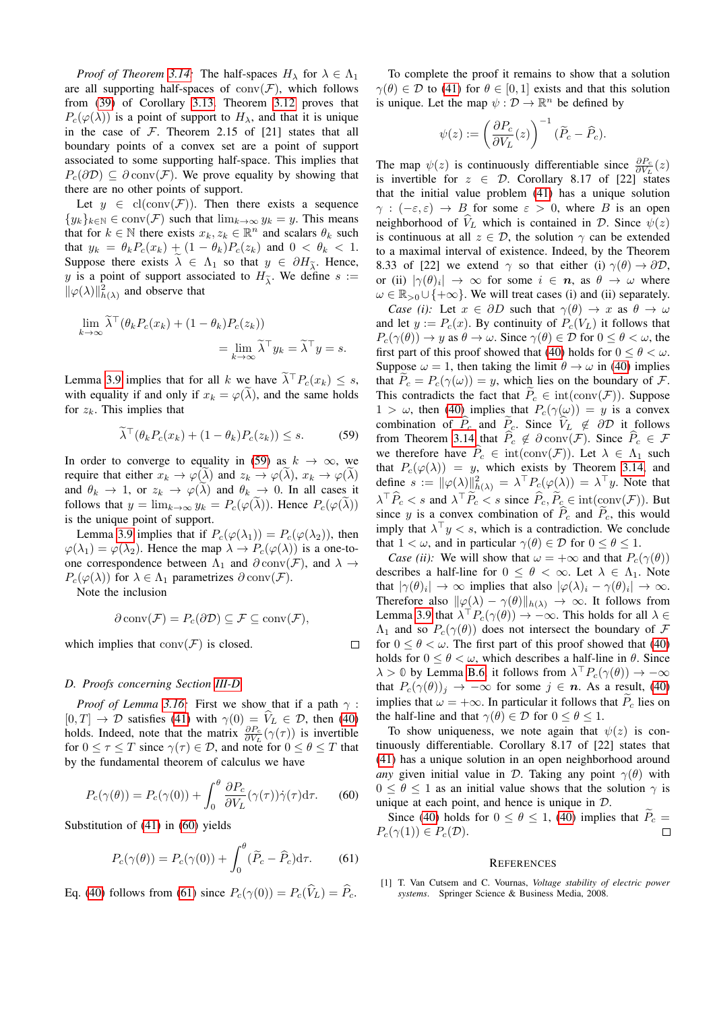*Proof of Theorem [3.14:](#page-10-4)* The half-spaces  $H_{\lambda}$  for  $\lambda \in \Lambda_1$ are all supporting half-spaces of  $conv(\mathcal{F})$ , which follows from [\(39\)](#page-10-12) of Corollary [3.13.](#page-10-11) Theorem [3.12](#page-10-3) proves that  $P_c(\varphi(\lambda))$  is a point of support to  $H_\lambda$ , and that it is unique in the case of  $F$ . Theorem 2.15 of [21] states that all boundary points of a convex set are a point of support associated to some supporting half-space. This implies that  $P_c(\partial \mathcal{D}) \subseteq \partial \text{conv}(\mathcal{F})$ . We prove equality by showing that there are no other points of support.

Let  $y \in$  cl(conv( $\mathcal{F}$ )). Then there exists a sequence  ${y_k}_{k\in\mathbb{N}} \in \text{conv}(\mathcal{F})$  such that  $\lim_{k\to\infty} y_k = y$ . This means that for  $k \in \mathbb{N}$  there exists  $x_k, z_k \in \mathbb{R}^n$  and scalars  $\theta_k$  such that  $y_k = \theta_k P_c(x_k) + (1 - \theta_k) P_c(z_k)$  and  $0 < \theta_k < 1$ . Suppose there exists  $\tilde{\lambda} \in \Lambda_1$  so that  $y \in \partial H_{\tilde{\lambda}}$ . Hence, y is a point of support associated to  $H_{\tilde{\lambda}}$ . We define  $s :=$  $\|\varphi(\lambda)\|_{h(\lambda)}^2$  and observe that

$$
\lim_{k \to \infty} \tilde{\lambda}^\top (\theta_k P_c(x_k) + (1 - \theta_k) P_c(z_k))
$$
  
= 
$$
\lim_{k \to \infty} \tilde{\lambda}^\top y_k = \tilde{\lambda}^\top y = s.
$$

Lemma [3.9](#page-9-6) implies that for all k we have  $\tilde{\lambda}^{\top} P_c(x_k) \leq s$ , with equality if and only if  $x_k = \varphi(\tilde{\lambda})$ , and the same holds for  $z_k$ . This implies that

$$
\widetilde{\lambda}^{\top}(\theta_k P_c(x_k) + (1 - \theta_k)P_c(z_k)) \le s.
$$
 (59)

In order to converge to equality in [\(59\)](#page-14-1) as  $k \to \infty$ , we require that either  $x_k \to \varphi(\lambda)$  and  $z_k \to \varphi(\lambda)$ ,  $x_k \to \varphi(\lambda)$ and  $\theta_k \to 1$ , or  $z_k \to \varphi(\lambda)$  and  $\theta_k \to 0$ . In all cases it follows that  $y = \lim_{k \to \infty} y_k = P_c(\varphi(\lambda))$ . Hence  $P_c(\varphi(\lambda))$ is the unique point of support.

Lemma [3.9](#page-9-6) implies that if  $P_c(\varphi(\lambda_1)) = P_c(\varphi(\lambda_2))$ , then  $\varphi(\lambda_1) = \varphi(\lambda_2)$ . Hence the map  $\lambda \to P_c(\varphi(\lambda))$  is a one-toone correspondence between  $\Lambda_1$  and  $\partial$  conv $(\mathcal{F})$ , and  $\lambda \to$  $P_c(\varphi(\lambda))$  for  $\lambda \in \Lambda_1$  parametrizes  $\partial conv(\mathcal{F}).$ 

Note the inclusion

$$
\partial \text{ conv}(\mathcal{F}) = P_c(\partial \mathcal{D}) \subseteq \mathcal{F} \subseteq \text{ conv}(\mathcal{F}),
$$

 $\Box$ 

which implies that  $conv(F)$  is closed.

#### <span id="page-14-0"></span>*D. Proofs concerning Section [III-D](#page-10-1)*

*Proof of Lemma [3.16:](#page-10-6)* First we show that if a path  $\gamma$ :  $[0, T] \rightarrow \mathcal{D}$  satisfies [\(41\)](#page-10-13) with  $\gamma(0) = V_L \in \mathcal{D}$ , then [\(40\)](#page-10-10) holds. Indeed, note that the matrix  $\frac{\partial P_c}{\partial V_L}(\gamma(\tau))$  is invertible for  $0 \leq \tau \leq T$  since  $\gamma(\tau) \in \mathcal{D}$ , and note for  $0 \leq \theta \leq T$  that by the fundamental theorem of calculus we have

$$
P_c(\gamma(\theta)) = P_c(\gamma(0)) + \int_0^{\theta} \frac{\partial P_c}{\partial V_L}(\gamma(\tau))\dot{\gamma}(\tau)d\tau.
$$
 (60)

Substitution of [\(41\)](#page-10-13) in [\(60\)](#page-14-2) yields

$$
P_c(\gamma(\theta)) = P_c(\gamma(0)) + \int_0^{\theta} (\tilde{P}_c - \hat{P}_c) d\tau.
$$
 (61)

Eq. [\(40\)](#page-10-10) follows from [\(61\)](#page-14-3) since  $P_c(\gamma(0)) = P_c(\hat{V}_L) = \hat{P}_c$ .

To complete the proof it remains to show that a solution  $\gamma(\theta) \in \mathcal{D}$  to [\(41\)](#page-10-13) for  $\theta \in [0, 1]$  exists and that this solution is unique. Let the map  $\psi : \mathcal{D} \to \mathbb{R}^n$  be defined by

$$
\psi(z):=\left(\frac{\partial P_c}{\partial V_L}(z)\right)^{-1}(\widetilde{P}_c-\widehat{P}_c).
$$

The map  $\psi(z)$  is continuously differentiable since  $\frac{\partial P_c}{\partial V_L}(z)$ is invertible for  $z \in \mathcal{D}$ . Corollary 8.17 of [22] states that the initial value problem [\(41\)](#page-10-13) has a unique solution  $\gamma$  :  $(-\varepsilon,\varepsilon) \to B$  for some  $\varepsilon > 0$ , where B is an open neighborhood of  $V_L$  which is contained in D. Since  $\psi(z)$ is continuous at all  $z \in \mathcal{D}$ , the solution  $\gamma$  can be extended to a maximal interval of existence. Indeed, by the Theorem 8.33 of [22] we extend  $\gamma$  so that either (i)  $\gamma(\theta) \rightarrow \partial \mathcal{D}$ , or (ii)  $|\gamma(\theta)_i| \to \infty$  for some  $i \in n$ , as  $\theta \to \omega$  where  $\omega \in \mathbb{R}_{>0} \cup \{+\infty\}$ . We will treat cases (i) and (ii) separately.

<span id="page-14-1"></span>*Case (i):* Let  $x \in \partial D$  such that  $\gamma(\theta) \to x$  as  $\theta \to \omega$ and let  $y := P_c(x)$ . By continuity of  $P_c(V_L)$  it follows that  $P_c(\gamma(\theta)) \to y$  as  $\theta \to \omega$ . Since  $\gamma(\theta) \in \mathcal{D}$  for  $0 \le \theta \le \omega$ , the first part of this proof showed that [\(40\)](#page-10-10) holds for  $0 \le \theta \le \omega$ . Suppose  $\omega = 1$ , then taking the limit  $\theta \to \omega$  in [\(40\)](#page-10-10) implies that  $P_c = P_c(\gamma(\omega)) = y$ , which lies on the boundary of F. This contradicts the fact that  $P_c \in \text{int}(\text{conv}(\mathcal{F}))$ . Suppose  $1 > \omega$ , then [\(40\)](#page-10-10) implies that  $P_c(\gamma(\omega)) = y$  is a convex combination of  $\hat{P}_c$  and  $\hat{P}_c$ . Since  $\hat{V}_L \notin \partial \mathcal{D}$  it follows from Theorem [3.14](#page-10-4) that  $\hat{P}_c \notin \partial \text{conv}(\mathcal{F})$ . Since  $\hat{P}_c \in \mathcal{F}$ we therefore have  $\widehat{P}_c \in \text{int}(\text{conv}(\mathcal{F}))$ . Let  $\lambda \in \Lambda_1$  such that  $P_c(\varphi(\lambda)) = y$ , which exists by Theorem [3.14,](#page-10-4) and define  $s := ||\varphi(\lambda)||^2_{h(\lambda)} = \lambda^\top P_c(\varphi(\lambda)) = \lambda^\top y$ . Note that  $\lambda^{\top} \widehat{P}_c < s$  and  $\lambda^{\top} \widetilde{P}_c < s$  since  $\widehat{P}_c, \widetilde{P}_c \in \text{int}(\text{conv}(\mathcal{F}))$ . But since y is a convex combination of  $\hat{P}_c$  and  $\hat{P}_c$ , this would imply that  $\lambda^{\top} y < s$ , which is a contradiction. We conclude that  $1 < \omega$ , and in particular  $\gamma(\theta) \in \mathcal{D}$  for  $0 \le \theta \le 1$ .

*Case (ii):* We will show that  $\omega = +\infty$  and that  $P_c(\gamma(\theta))$ describes a half-line for  $0 \le \theta < \infty$ . Let  $\lambda \in \Lambda_1$ . Note that  $|\gamma(\theta)_i| \to \infty$  implies that also  $|\varphi(\lambda)_i - \gamma(\theta)_i| \to \infty$ . Therefore also  $\|\varphi(\lambda) - \gamma(\theta)\|_{h(\lambda)} \to \infty$ . It follows from Lemma [3.9](#page-9-6) that  $\lambda^{\top} P_c(\gamma(\theta)) \to -\infty$ . This holds for all  $\lambda \in$  $\Lambda_1$  and so  $P_c(\gamma(\theta))$  does not intersect the boundary of F for  $0 \le \theta < \omega$ . The first part of this proof showed that [\(40\)](#page-10-10) holds for  $0 \le \theta < \omega$ , which describes a half-line in  $\theta$ . Since  $\lambda > 0$  by Lemma [B.6,](#page-12-11) it follows from  $\lambda^{\top} P_c(\gamma(\theta)) \to -\infty$ that  $P_c(\gamma(\theta))_j \to -\infty$  for some  $j \in n$ . As a result, [\(40\)](#page-10-10) implies that  $\omega = +\infty$ . In particular it follows that  $\tilde{P}_c$  lies on the half-line and that  $\gamma(\theta) \in \mathcal{D}$  for  $0 \le \theta \le 1$ .

To show uniqueness, we note again that  $\psi(z)$  is continuously differentiable. Corollary 8.17 of [22] states that [\(41\)](#page-10-13) has a unique solution in an open neighborhood around *any* given initial value in D. Taking any point  $\gamma(\theta)$  with  $0 \le \theta \le 1$  as an initial value shows that the solution  $\gamma$  is unique at each point, and hence is unique in  $D$ .

<span id="page-14-3"></span><span id="page-14-2"></span>Since [\(40\)](#page-10-10) holds for  $0 \le \theta \le 1$ , (40) implies that  $P_c = \langle \gamma(1) \rangle \in P_c(\mathcal{D})$ .  $P_c(\gamma(1)) \in P_c(\mathcal{D}).$ 

#### **REFERENCES**

[1] T. Van Cutsem and C. Vournas, *Voltage stability of electric power systems*. Springer Science & Business Media, 2008.